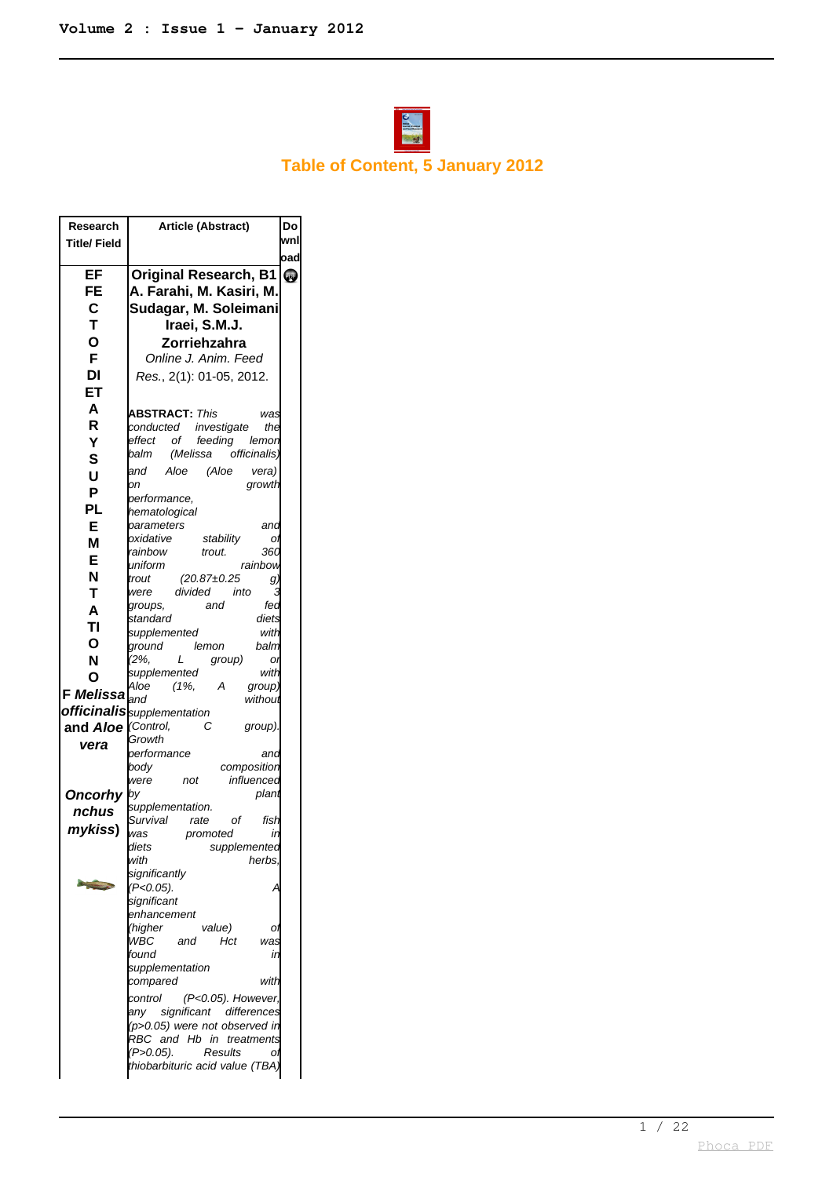

## **Table of Content, 5 January 2012**

| Research                      | Article (Abstract)                                                | Do  |
|-------------------------------|-------------------------------------------------------------------|-----|
| <b>Title/Field</b>            |                                                                   | wnl |
|                               |                                                                   | oad |
| EF                            | <b>Original Research, B1</b>                                      | Q,  |
| FE                            | A. Farahi, M. Kasiri, M.                                          |     |
| $\mathbf c$                   | Sudagar, M. Soleimani                                             |     |
| T                             | Iraei, S.M.J.                                                     |     |
| Ο                             | Zorriehzahra                                                      |     |
| F                             | Online J. Anim. Feed                                              |     |
| DI                            | Res., 2(1): 01-05, 2012.                                          |     |
| ET                            |                                                                   |     |
| A                             |                                                                   |     |
| R                             | <b>ABSTRACT:</b> <i>This</i><br>was                               |     |
|                               | investigate<br>the<br>conducted                                   |     |
| Ý                             | effect of<br>feeding<br>lemon<br>(Melissa<br>balm<br>officinalis) |     |
| S                             | Aloe<br>(Aloe<br>and<br>vera)                                     |     |
| U                             | growth<br>оn                                                      |     |
| P                             | performance,                                                      |     |
| PL                            | hematological                                                     |     |
| E                             | parameters<br>and                                                 |     |
| М                             | oxidative<br>stability<br>Oì                                      |     |
| E                             | rainbow<br>trout.<br>360<br>uniform<br>rainbow                    |     |
| N                             | $(20.87 \pm 0.25)$<br>trout<br>g,                                 |     |
| т                             | divided<br>were<br>into                                           |     |
| A                             | and<br>fea<br>groups,                                             |     |
| ΤI                            | standard<br>diets                                                 |     |
| Ο                             | with<br>supplemented                                              |     |
| N                             | ground<br>lemon<br>balm<br>$(2\%,$<br>L<br>group)<br>OI           |     |
|                               | supplemented<br>with                                              |     |
| Ο                             | Aloe<br>(1%,<br>А<br>group                                        |     |
| <b>F</b> Melissa $\int_{and}$ | withoui                                                           |     |
|                               | <b>officinalis</b> supplementation                                |     |
| and Aloe                      | (Control,<br>group).<br>С<br>Growth                               |     |
| vera                          | performance<br>and                                                |     |
|                               | body<br>composition                                               |     |
|                               | influencea<br>were<br>not                                         |     |
| <b>Oncorhy</b>                | by<br>plant                                                       |     |
| nchus                         | supplementation.                                                  |     |
| mykiss)                       | Survival<br>rate<br>fish<br>οf<br>was<br>promoted<br>in           |     |
|                               | diets<br>supplemented                                             |     |
|                               | with<br>herbs.                                                    |     |
|                               | significantly                                                     |     |
|                               | (P<0.05).                                                         |     |
|                               | significant<br>enhancement                                        |     |
|                               | (higher<br>value)                                                 |     |
|                               | WBC<br>Hct<br>and<br>was                                          |     |
|                               | found<br>ir                                                       |     |
|                               | supplementation                                                   |     |
|                               | with<br>compared                                                  |     |
|                               | control<br>(P<0.05). However,                                     |     |
|                               | any significant differences<br>(p>0.05) were not observed in      |     |
|                               | RBC and Hb in treatments                                          |     |
|                               | (P>0.05).<br>Results<br>Oì                                        |     |
|                               | thiobarbituric acid value (TBA                                    |     |
|                               |                                                                   |     |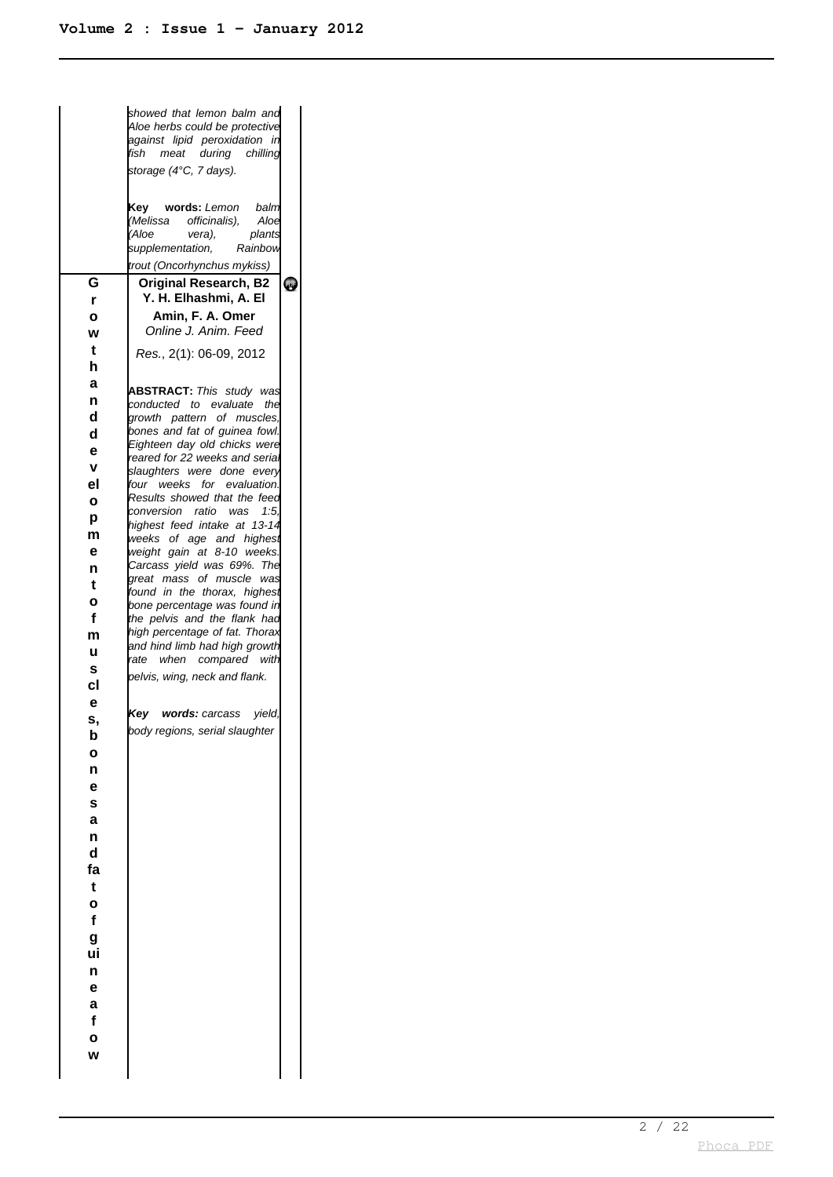|              | showed that lemon balm and<br>Aloe herbs could be protective<br>against lipid peroxidation in<br>fish meat during chilling<br>storage (4°C, 7 days). |           |
|--------------|------------------------------------------------------------------------------------------------------------------------------------------------------|-----------|
|              | Key words: Lemon balm<br>(Melissa officinalis),<br>Aloe<br>(Aloe<br>vera),<br>plants<br>supplementation, Rainbow                                     |           |
|              | trout (Oncorhynchus mykiss)                                                                                                                          |           |
| G            | <b>Original Research, B2</b>                                                                                                                         | <b>QJ</b> |
| r            | Y. H. Elhashmi, A. El                                                                                                                                |           |
| $\mathbf{o}$ | Amin, F. A. Omer<br>Online J. Anim. Feed                                                                                                             |           |
| W            |                                                                                                                                                      |           |
| t            | Res., 2(1): 06-09, 2012                                                                                                                              |           |
| h            |                                                                                                                                                      |           |
| a            | <b>ABSTRACT:</b> This study was                                                                                                                      |           |
| n            | conducted to evaluate the                                                                                                                            |           |
| d            | growth pattern of muscles,<br>bones and fat of guinea fowl.                                                                                          |           |
| d            | Eighteen day old chicks were                                                                                                                         |           |
| e            | reared for 22 weeks and serial                                                                                                                       |           |
| V            | slaughters were done every                                                                                                                           |           |
| el           | four weeks for evaluation.<br>Results showed that the feed                                                                                           |           |
| $\bullet$    | conversion ratio was 1:5,                                                                                                                            |           |
| p<br>m       | highest feed intake at 13-14                                                                                                                         |           |
| е            | weeks of age and highest<br>weight gain at 8-10 weeks.                                                                                               |           |
| n            | Carcass yield was 69%. The                                                                                                                           |           |
| t            | great mass of muscle was                                                                                                                             |           |
| $\mathbf{o}$ | found in the thorax, highest                                                                                                                         |           |
| f            | bone percentage was found in<br>the pelvis and the flank had                                                                                         |           |
| m            | high percentage of fat. Thorax                                                                                                                       |           |
| u            | and hind limb had high growth                                                                                                                        |           |
| S            | rate when compared with                                                                                                                              |           |
| cl           | pelvis, wing, neck and flank.                                                                                                                        |           |
| e            |                                                                                                                                                      |           |
| s,           | Key words: carcass yield,                                                                                                                            |           |
| b            | body regions, serial slaughter                                                                                                                       |           |
| O            |                                                                                                                                                      |           |
| n            |                                                                                                                                                      |           |
| е            |                                                                                                                                                      |           |
| S            |                                                                                                                                                      |           |
| a            |                                                                                                                                                      |           |
| n            |                                                                                                                                                      |           |
| d            |                                                                                                                                                      |           |
| fa           |                                                                                                                                                      |           |
| t            |                                                                                                                                                      |           |
| $\bullet$    |                                                                                                                                                      |           |
| f            |                                                                                                                                                      |           |
| g            |                                                                                                                                                      |           |
| ui           |                                                                                                                                                      |           |
| n            |                                                                                                                                                      |           |
| e            |                                                                                                                                                      |           |
| a<br>f       |                                                                                                                                                      |           |
| $\bullet$    |                                                                                                                                                      |           |
| W            |                                                                                                                                                      |           |
|              |                                                                                                                                                      |           |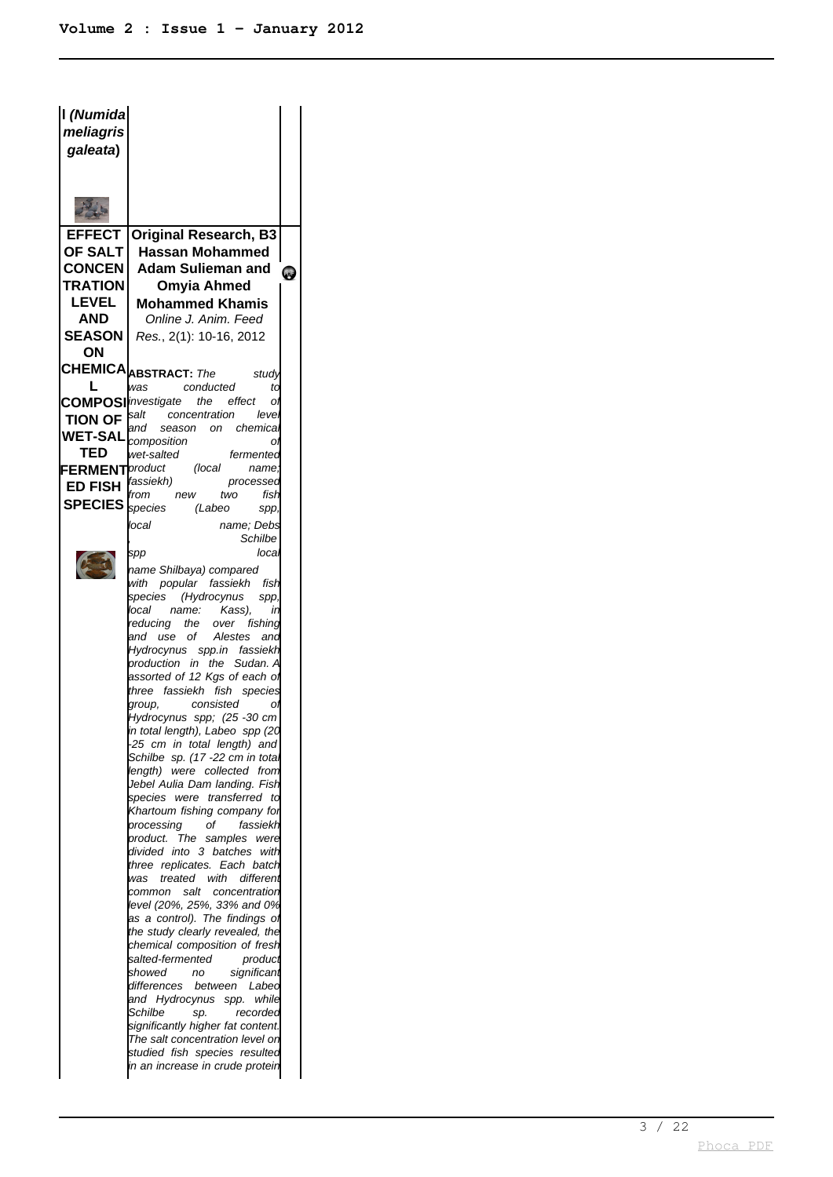| I (Numida<br>meliagris<br>galeata)                                                                                                                                                                                                   |                                                                                                                                                                                                                                                                                                                                                                                                                                                                                                                                                                                                                                                                                                                                                                                                                                                                                                                                                                                                                                                                                                                                                                                                                                                               |           |
|--------------------------------------------------------------------------------------------------------------------------------------------------------------------------------------------------------------------------------------|---------------------------------------------------------------------------------------------------------------------------------------------------------------------------------------------------------------------------------------------------------------------------------------------------------------------------------------------------------------------------------------------------------------------------------------------------------------------------------------------------------------------------------------------------------------------------------------------------------------------------------------------------------------------------------------------------------------------------------------------------------------------------------------------------------------------------------------------------------------------------------------------------------------------------------------------------------------------------------------------------------------------------------------------------------------------------------------------------------------------------------------------------------------------------------------------------------------------------------------------------------------|-----------|
|                                                                                                                                                                                                                                      |                                                                                                                                                                                                                                                                                                                                                                                                                                                                                                                                                                                                                                                                                                                                                                                                                                                                                                                                                                                                                                                                                                                                                                                                                                                               |           |
|                                                                                                                                                                                                                                      |                                                                                                                                                                                                                                                                                                                                                                                                                                                                                                                                                                                                                                                                                                                                                                                                                                                                                                                                                                                                                                                                                                                                                                                                                                                               |           |
| <b>EFFECT</b><br><b>OF SALT</b><br><b>CONCEN</b><br>TRATION<br><b>LEVEL</b><br>AND<br><b>SEASON</b><br>OΝ<br>L<br>TION OF $\left \sin\left(\frac{1}{2}\right)\right $<br>WET-SAL <i>composition</i><br>TED<br><b>FERMENT</b> product | <b>Original Research, B3</b><br><b>Hassan Mohammed</b><br><b>Adam Sulieman and</b><br>Omyia Ahmed<br><b>Mohammed Khamis</b><br>Online J. Anim. Feed<br>Res., 2(1): 10-16, 2012<br>CHEMICA <b>ABSTRACT:</b> The<br>study<br>was conducted<br>ta<br><b>COMPOSI</b> investigate the effect<br>Oì<br>concentration leve<br>and season on chemica<br>Oì<br>wet-salted<br>fermented<br>(local<br>name,                                                                                                                                                                                                                                                                                                                                                                                                                                                                                                                                                                                                                                                                                                                                                                                                                                                              | <b>QB</b> |
| <b>ED FISH</b><br><b>SPECIES</b> Species                                                                                                                                                                                             | fassiekh)<br>processed<br>from new<br>two<br>fish<br>(Labeo<br>spp,<br>name: Debs<br>local<br>Schilbe<br>loca<br>spp                                                                                                                                                                                                                                                                                                                                                                                                                                                                                                                                                                                                                                                                                                                                                                                                                                                                                                                                                                                                                                                                                                                                          |           |
|                                                                                                                                                                                                                                      | name Shilbaya) compared<br>with popular fassiekh fish<br>(Hydrocynus<br>species<br>spp,<br>Kass),<br>local name:<br>ir<br>reducing the over fishing<br>and use of Alestes and<br>Hydrocynus spp.in fassiekh<br>production in the Sudan. A<br>assorted of 12 Kgs of each oi<br>three fassiekh fish species<br>group, consisted<br>Οl<br>Hydrocynus spp; (25 -30 cm<br>in total length), Labeo spp (20<br>25 cm in total length) and<br>Schilbe sp. (17 -22 cm in total<br>length) were collected from<br>Jebel Aulia Dam landing. Fish<br>were transferred to<br>species<br>Khartoum fishing company for<br>оf<br>fassiekh<br>processing<br>product.<br>The<br>samples were<br>divided<br>into 3 batches<br>with<br>three replicates. Each batch<br>treated with<br>different<br>was<br>common salt concentration<br>level (20%, 25%, 33% and 0%<br>as a control). The findings of<br>the study clearly revealed, the<br>chemical composition of fresh<br>salted-fermented<br>product<br>showed<br>significant<br>no<br>differences<br>between Labed<br>and Hydrocynus spp.<br>while<br>Schilbe<br>sp.<br>recorded<br>significantly higher fat content.<br>The salt concentration level on<br>studied fish species resulted<br>in an increase in crude protein |           |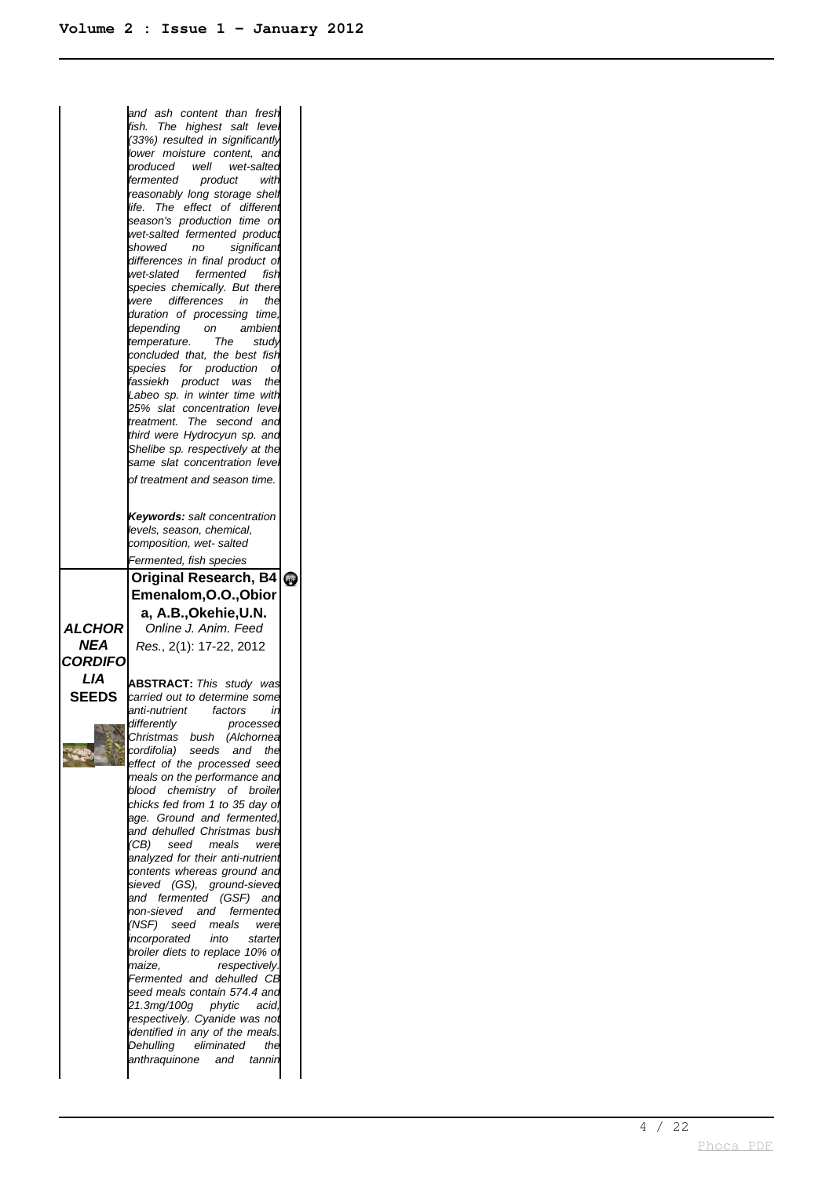and ash content than fresh fish. The highest salt level (33%) resulted in significantly lower moisture content, and produced well wet-salted<br>fermented product with fermented product with reasonably long storage shelt life. The effect of different season's production time or wet-salted fermented product<br>showed no significant no significant differences in final product of wet-slated fermented fish species chemically. But there were differences in the duration of processing time, depending on ambient temperature. The study concluded that, the best fish species for production of fassiekh product was the Labeo sp. in winter time with 25% slat concentration level treatment. The second and third were Hydrocyun sp. and Shelibe sp. respectively at the same slat concentration leve of treatment and season time. **Keywords:** salt concentration levels, season, chemical, composition, wet- salted Fermented, fish species **ALCHOR NEA CORDIFO LIA SEEDS Original Research, B4 Emenalom,O.O.,Obior a, A.B.,Okehie,U.N.** Online J. Anim. Feed Res. , 2(1): 17-22, 2012 **ABSTRACT:** This study was carried out to determine some anti-nutrient factors in differently processed Christmas bush (Alchornea cordifolia) seeds and the effect of the processed seed meals on the performance and blood chemistry of broiler chicks fed from 1 to 35 day of age. Ground and fermented, and dehulled Christmas bush (CB) seed meals were analyzed for their anti-nutrient contents whereas ground and sieved (GS), ground-sieved and fermented (GSF) and non-sieved and fermented (NSF) seed meals were incorporated into starter broiler diets to replace 10% of maize, respectively. Fermented and dehulled CB seed meals contain 574.4 and 21.3mg/100g phytic acid, respectively. Cyanide was not identified in any of the meals. Dehulling eliminated the anthraquinone and tannir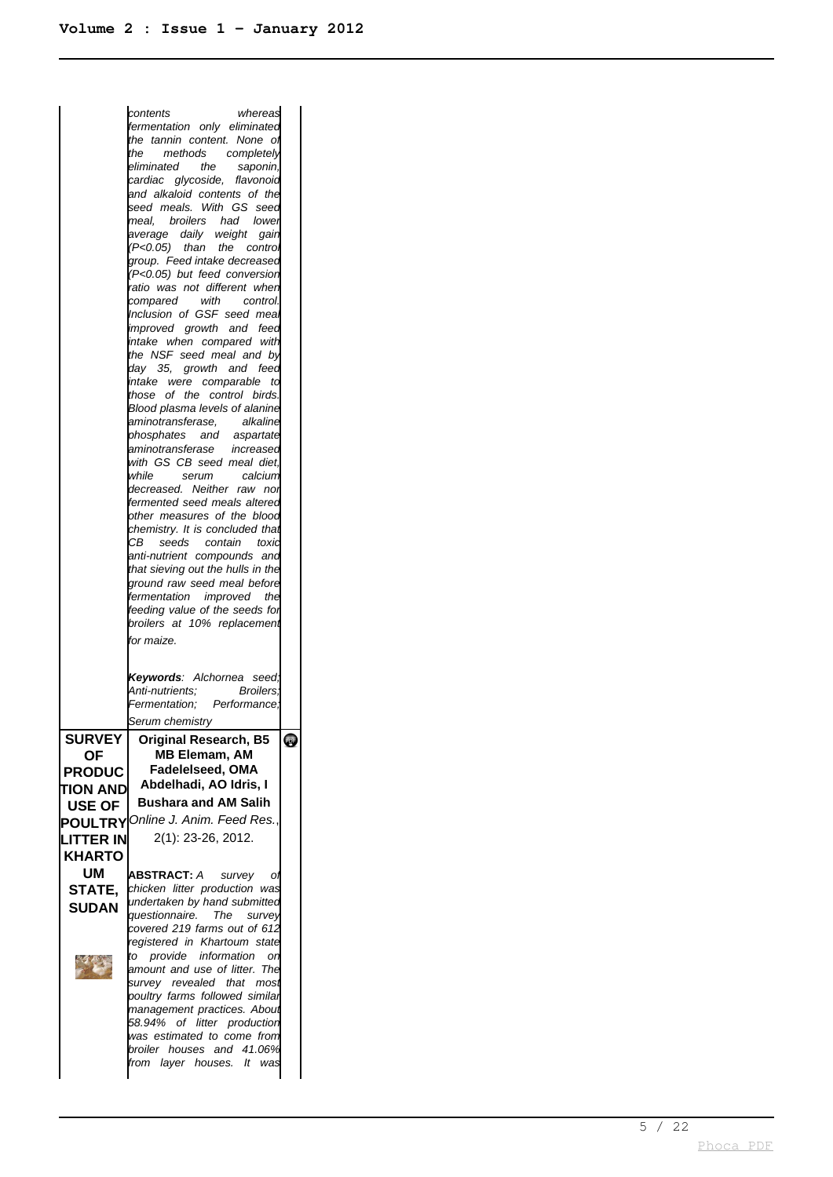|                 | whereas<br>contents                                             |   |
|-----------------|-----------------------------------------------------------------|---|
|                 | fermentation only eliminated                                    |   |
|                 | the tannin content. None<br>O                                   |   |
|                 | the<br>methods<br>completely                                    |   |
|                 | eliminated<br>the<br>saponin,                                   |   |
|                 | cardiac glycoside, flavonoid                                    |   |
|                 | and alkaloid contents of the                                    |   |
|                 | seed meals. With<br>GS<br>seec                                  |   |
|                 | meal, broilers<br>had<br>lower                                  |   |
|                 | average daily<br>weight<br>gair                                 |   |
|                 | (P<0.05) than<br>the<br>contro                                  |   |
|                 | group. Feed intake decreased<br>(P<0.05) but feed conversior    |   |
|                 | ratio was not different when                                    |   |
|                 | with<br>control.<br>compared                                    |   |
|                 | Inclusion of GSF seed mea                                       |   |
|                 | improved growth and feed                                        |   |
|                 | intake when compared with                                       |   |
|                 | the NSF seed meal and by                                        |   |
|                 | day 35,<br>growth<br>feec<br>and                                |   |
|                 | intake<br>were comparable<br>td                                 |   |
|                 | of<br>the control birds<br>those                                |   |
|                 | Blood plasma levels of alanine                                  |   |
|                 | aminotransferase,<br>alkaline                                   |   |
|                 | phosphates<br>and<br>aspartate<br>aminotransferase<br>increased |   |
|                 | with GS CB seed meal diet.                                      |   |
|                 | while<br>serum<br>calcium                                       |   |
|                 | decreased. Neither raw<br>noi                                   |   |
|                 | fermented seed meals alterec                                    |   |
|                 | other measures of the blood                                     |   |
|                 | chemistry. It is concluded tha                                  |   |
|                 | CB<br>seeds contain<br>toxic                                    |   |
|                 | anti-nutrient compounds and                                     |   |
|                 | that sieving out the hulls in the                               |   |
|                 | ground raw seed meal before                                     |   |
|                 | fermentation improved<br>the                                    |   |
|                 | feeding value of the seeds for                                  |   |
|                 |                                                                 |   |
|                 | broilers at 10% replacement                                     |   |
|                 | for maize.                                                      |   |
|                 |                                                                 |   |
|                 | <b>Keywords</b> : Alchornea<br>seed                             |   |
|                 | Anti-nutrients:<br><b>Broilers</b>                              |   |
|                 | Fermentation:<br>Performance.                                   |   |
|                 | Serum chemistry                                                 |   |
| <b>SURVEY</b>   |                                                                 |   |
|                 | <b>Original Research, B5</b><br><b>MB Elemam, AM</b>            | w |
| <b>OF</b>       | Fadelelseed, OMA                                                |   |
| <b>PRODUC</b>   | Abdelhadi, AO Idris, I                                          |   |
| <b>TION AND</b> | <b>Bushara and AM Salih</b>                                     |   |
| USE OF          |                                                                 |   |
| <b>POULTRY</b>  | Online J. Anim. Feed Res                                        |   |
| LITTER IN       | 2(1): 23-26, 2012.                                              |   |
| <b>KHARTO</b>   |                                                                 |   |
| UM              | <b>ABSTRACT:</b> A<br>survey<br>Οl                              |   |
| STATE.          | chicken litter production was                                   |   |
|                 | undertaken by hand submitted                                    |   |
| <b>SUDAN</b>    | questionnaire. The<br>survey                                    |   |
|                 | covered 219 farms out of 612                                    |   |
|                 | registered in Khartoum state                                    |   |
|                 | to provide information<br>- on<br>The                           |   |
|                 | amount and use of litter.                                       |   |
|                 | survey revealed that most<br>poultry farms followed similar     |   |
|                 | management practices. About                                     |   |
|                 | 58.94% of litter production                                     |   |
|                 | was estimated to come from                                      |   |
|                 | broiler houses<br>and 41.06%<br>from layer houses.<br>lt was    |   |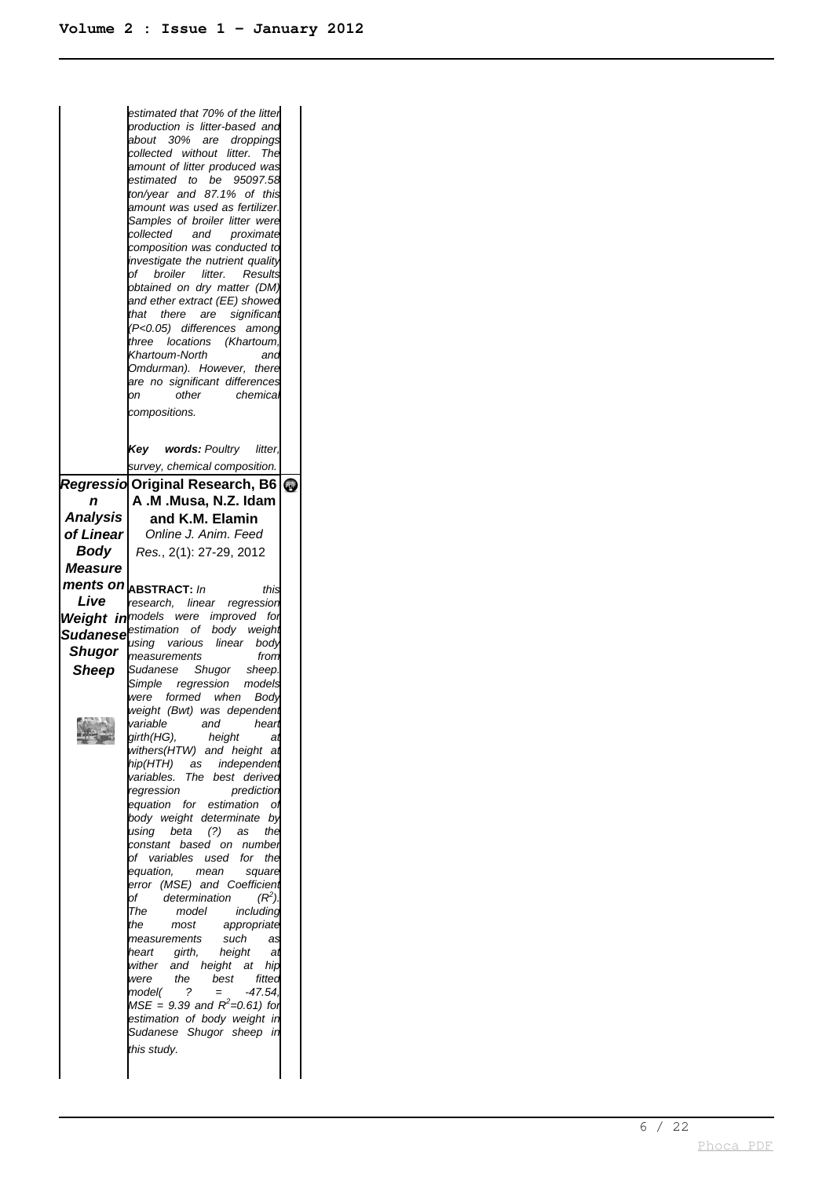|                | estimated that 70% of the litter                                                             |  |
|----------------|----------------------------------------------------------------------------------------------|--|
|                | production is litter-based and                                                               |  |
|                | about 30% are droppings<br>collected without<br>litter. The                                  |  |
|                | amount of litter produced was                                                                |  |
|                | estimated to be 95097.58                                                                     |  |
|                | ton/year and 87.1% of this<br>amount was used as fertilizer.                                 |  |
|                | Samples of broiler litter were                                                               |  |
|                | collected and<br>proximate                                                                   |  |
|                | composition was conducted to<br>investigate the nutrient quality                             |  |
|                | of broiler litter.<br>Results                                                                |  |
|                | obtained on dry matter (DM)                                                                  |  |
|                | and ether extract (EE) showed<br>that there are significant                                  |  |
|                | (P<0.05) differences among                                                                   |  |
|                | three locations (Khartoum,                                                                   |  |
|                | Khartoum-North<br>and<br>Omdurman). However, there                                           |  |
|                | are no significant differences                                                               |  |
|                | other<br>chemical<br>юn                                                                      |  |
|                | compositions.                                                                                |  |
|                |                                                                                              |  |
|                | Key words: Poultry litter,                                                                   |  |
|                | survey, chemical composition.<br>Regressio Original Research, B6<br>$\bullet$                |  |
| n              | A.M.Musa, N.Z. Idam                                                                          |  |
| Analysis       | and K.M. Elamin                                                                              |  |
| of Linear      | Online J. Anim. Feed                                                                         |  |
| Body           | Res., 2(1): 27-29, 2012                                                                      |  |
| <b>Measure</b> |                                                                                              |  |
|                | ments on <b>ABSTRACT</b> : In<br>this                                                        |  |
| Live           | research, linear regression                                                                  |  |
|                | <b>Weight in</b> models were improved<br>for<br><b>Sudanese</b> estimation of body<br>weight |  |
| Shugor         | using various linear<br>body                                                                 |  |
| Sheep          | measurements<br>from<br>Sudanese Shugor sheep.                                               |  |
|                |                                                                                              |  |
|                | Simple regression<br>models                                                                  |  |
|                | were formed when<br>Body                                                                     |  |
|                | weight (Bwt) was dependent                                                                   |  |
|                | girth(HG),<br>height<br>at                                                                   |  |
|                | withers(HTW) and height at                                                                   |  |
|                | hip(HTH)<br>independent<br>as<br>variables.<br>The best derived                              |  |
|                | regression<br>prediction                                                                     |  |
|                | equation for estimation<br>01                                                                |  |
|                | body weight determinate<br>by<br>using beta<br>(?)<br>as<br>the                              |  |
|                | constant based on<br>number                                                                  |  |
|                | of variables used<br>the<br>for<br>equation,<br>mean<br>square                               |  |
|                | error (MSE) and Coefficient                                                                  |  |
|                | $(R^2)$<br>determination<br>оf<br>model<br>The                                               |  |
|                | including<br>most<br>appropriate<br>the                                                      |  |
|                | such<br>measurements<br>as                                                                   |  |
|                | girth,<br>height<br>heart<br>at<br>and height<br>at<br>wither<br>hip                         |  |
|                | the<br>best<br>were<br>fitted                                                                |  |
|                | ?<br>$-47.54$<br>model(<br>$=$<br>$MSE = 9.39$ and $R^2$ =0.61) for                          |  |
|                | estimation of body weight in                                                                 |  |
|                | Sudanese Shugor sheep in                                                                     |  |
|                | this study.                                                                                  |  |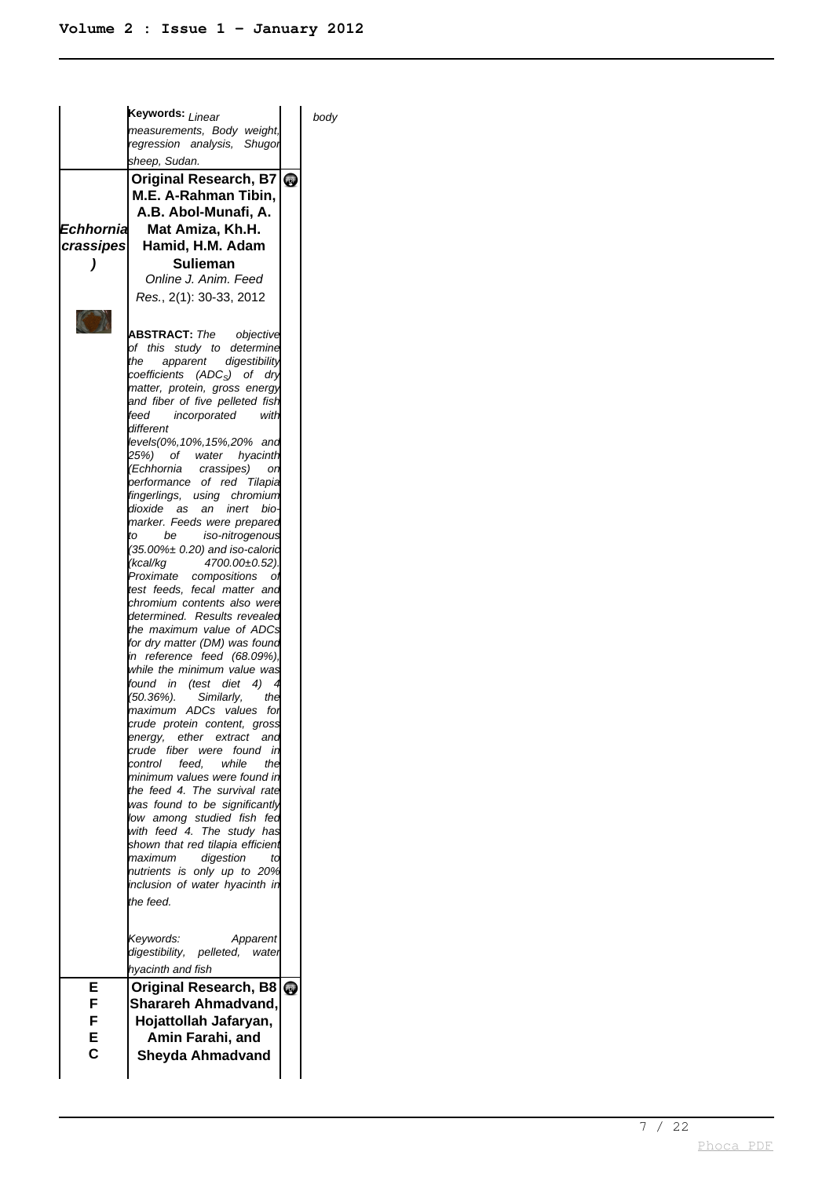|           | <b>keywords: <sub>Linear</sub></b>                               |            | body |
|-----------|------------------------------------------------------------------|------------|------|
|           | measurements, Body weight,<br>regression analysis, Shugor        |            |      |
|           | sheep, Sudan.                                                    |            |      |
|           | Original Research, B7                                            | <b>PPF</b> |      |
|           | M.E. A-Rahman Tibin,                                             |            |      |
|           | A.B. Abol-Munafi, A.                                             |            |      |
| Echhornia | Mat Amiza, Kh.H.                                                 |            |      |
|           | crassipes Hamid, H.M. Adam                                       |            |      |
|           |                                                                  |            |      |
|           | Sulieman                                                         |            |      |
|           | Online J. Anim. Feed                                             |            |      |
|           | Res., 2(1): 30-33, 2012                                          |            |      |
|           |                                                                  |            |      |
|           | <b>ABSTRACT:</b> The objective                                   |            |      |
|           | of this study to determine                                       |            |      |
|           | the<br>apparent digestibility                                    |            |      |
|           | coefficients (ADC <sub>S</sub> ) of dry                          |            |      |
|           | matter, protein, gross energy<br>and fiber of five pelleted fish |            |      |
|           | feed<br>incorporated<br>with                                     |            |      |
|           | different                                                        |            |      |
|           | levels(0%,10%,15%,20% and                                        |            |      |
|           | 25%) of water hyacinth                                           |            |      |
|           | (Echhornia<br>crassipes)<br>or.                                  |            |      |
|           | performance of red Tilapia<br>fingerlings, using chromium        |            |      |
|           | dioxide as an inert<br>bio-                                      |            |      |
|           | marker. Feeds were prepared                                      |            |      |
|           | to<br>be iso-nitrogenous                                         |            |      |
|           | (35.00%± 0.20) and iso-calorid                                   |            |      |
|           | (kcal/kg<br>4700.00±0.52).<br>Proximate compositions<br>Οİ       |            |      |
|           | test feeds, fecal matter and                                     |            |      |
|           | chromium contents also were                                      |            |      |
|           | determined. Results revealed                                     |            |      |
|           | the maximum value of ADCs                                        |            |      |
|           | for dry matter (DM) was found<br>in reference feed (68.09%),     |            |      |
|           | while the minimum value was                                      |            |      |
|           | found in (test diet 4)                                           |            |      |
|           | (50.36%).<br>Similarly,<br>the                                   |            |      |
|           | maximum ADCs values for                                          |            |      |
|           | crude protein content, gross<br>energy, ether extract<br>and     |            |      |
|           | crude fiber were<br>found<br>- in                                |            |      |
|           | while<br>control<br>feed.<br>the                                 |            |      |
|           | minimum values were found in                                     |            |      |
|           | the feed 4. The survival rate                                    |            |      |
|           | was found to be significantly<br>low among studied fish<br>fea   |            |      |
|           | with feed 4. The study has                                       |            |      |
|           | shown that red tilapia efficient                                 |            |      |
|           | digestion<br>maximum<br>td                                       |            |      |
|           | nutrients is only up to 20%                                      |            |      |
|           | inclusion of water hyacinth in                                   |            |      |
|           | the feed.                                                        |            |      |
|           |                                                                  |            |      |
|           | Keywords:<br>Apparent                                            |            |      |
|           | digestibility, pelleted, water                                   |            |      |
|           | hyacinth and fish                                                |            |      |
| Е         | <b>Original Research, B8</b>                                     | <b>Que</b> |      |
| F         | Sharareh Ahmadvand,                                              |            |      |
| F         | Hojattollah Jafaryan,                                            |            |      |
| Е         | Amin Farahi, and                                                 |            |      |
| C         | Sheyda Ahmadvand                                                 |            |      |
|           |                                                                  |            |      |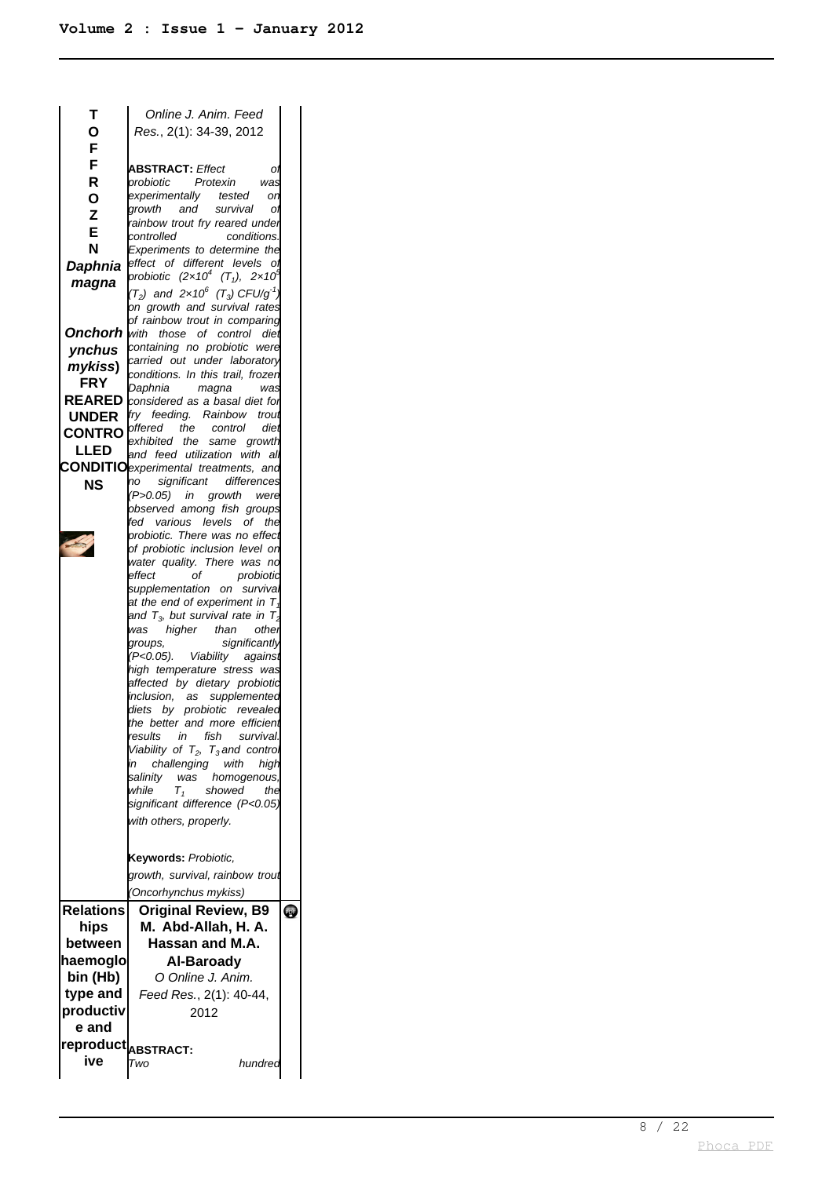| т                                      | Online J. Anim. Feed                                                     |           |
|----------------------------------------|--------------------------------------------------------------------------|-----------|
| Ο                                      | Res., 2(1): 34-39, 2012                                                  |           |
| F                                      |                                                                          |           |
| F                                      | <b>ABSTRACT: Effect</b><br>Oì                                            |           |
| R                                      | Protexin<br>probiotic<br>was                                             |           |
| O                                      | experimentally tested<br>or                                              |           |
| Z                                      | and<br>growth<br>survival<br>Oì                                          |           |
| E                                      | rainbow trout fry reared under                                           |           |
| N                                      | controlled<br>conditions.<br>Experiments to determine the                |           |
| Daphnia                                | effect of different levels<br>Oì                                         |           |
| magna                                  | probiotic $(2 \times 10^4$ $(T_1)$ , $2 \times 10^4$                     |           |
|                                        | $(T_2)$ and 2x10 <sup>6</sup> $(T_3)$ CFU/g <sup>-1</sup>                |           |
|                                        | on growth and survival rates                                             |           |
|                                        | of rainbow trout in comparing                                            |           |
|                                        | <b>Onchorh</b> with those of control diet                                |           |
| ynchus                                 | containing no probiotic were<br>carried out under laboratory             |           |
| mykiss)                                | conditions. In this trail, frozen                                        |           |
| <b>FRY</b>                             | Daphnia<br>magna<br>was                                                  |           |
|                                        | REARED <i>considered as a basal diet for</i>                             |           |
| <b>UNDER</b>                           | fry feeding. Rainbow<br>trout                                            |           |
| <b>CONTRO</b>                          | offered the<br>control<br>diei                                           |           |
| LLED                                   | exhibited the same<br>growth<br>and feed utilization with al             |           |
|                                        | <b>CONDITIO</b> experimental treatments, and                             |           |
| <b>NS</b>                              | significant differences<br>no                                            |           |
|                                        | (P>0.05) in growth<br>were                                               |           |
|                                        | observed among fish groups                                               |           |
|                                        | fed various levels of<br>the                                             |           |
|                                        | probiotic. There was no effect<br>of probiotic inclusion level on        |           |
|                                        | water quality. There was no                                              |           |
|                                        | effect<br>of<br>probiotic                                                |           |
|                                        | supplementation on surviva.                                              |           |
|                                        | at the end of experiment in $T_{4}$                                      |           |
|                                        | and $T_3$ , but survival rate in $T_2$<br>higher than<br>was<br>other    |           |
|                                        | significantly<br>groups,                                                 |           |
|                                        |                                                                          |           |
|                                        | against                                                                  |           |
|                                        | (P<0.05). Viability<br>high temperature stress was                       |           |
|                                        | affected by dietary probiotid                                            |           |
|                                        | inclusion.<br>as supplemented                                            |           |
|                                        | diets by probiotic revealed                                              |           |
|                                        | the better and more efficient<br>results<br>fish<br>in<br>survival.      |           |
|                                        |                                                                          |           |
|                                        | Viability of $T_2$ , $T_3$ and control<br>challenging with<br>in<br>high |           |
|                                        | salinity<br>was<br>homogenous,                                           |           |
|                                        | while<br>$T_{\scriptscriptstyle\mathcal{I}}$<br>showed<br>the            |           |
|                                        | significant difference (P<0.05)                                          |           |
|                                        | with others, properly.                                                   |           |
|                                        |                                                                          |           |
|                                        | Keywords: Probiotic,                                                     |           |
|                                        | growth, survival, rainbow trout                                          |           |
|                                        | (Oncorhynchus mykiss)                                                    |           |
| <b>Relations</b>                       | <b>Original Review, B9</b>                                               |           |
|                                        |                                                                          | <b>ey</b> |
| hips                                   | M. Abd-Allah, H. A.<br>Hassan and M.A.                                   |           |
| between                                |                                                                          |           |
| haemoglo                               | Al-Baroady                                                               |           |
| bin (Hb)                               | O Online J. Anim.                                                        |           |
| type and                               | Feed Res., 2(1): 40-44,                                                  |           |
| productiv                              | 2012                                                                     |           |
| e and                                  |                                                                          |           |
|                                        |                                                                          |           |
| reproduct  <sub>ABSTRACT:</sub><br>ive | Two<br>hundrea                                                           |           |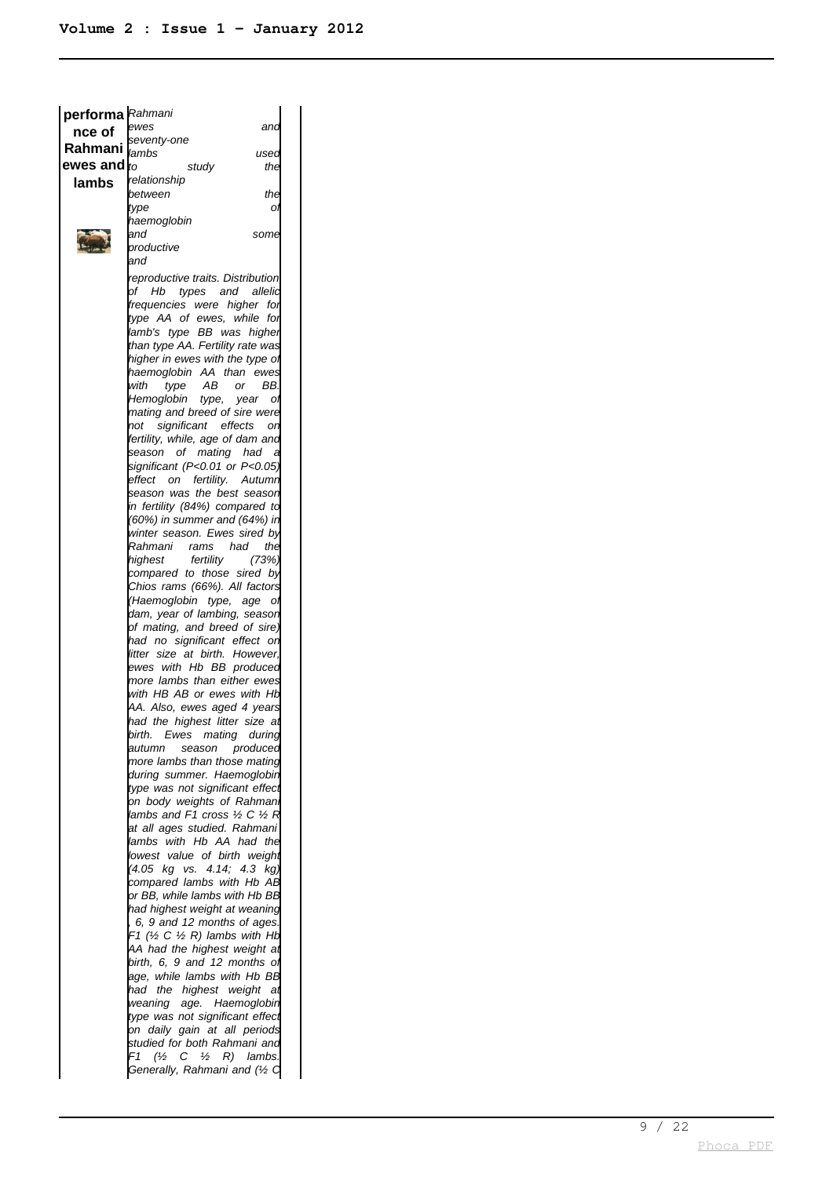| performa Rahmani       |                                                           |  |
|------------------------|-----------------------------------------------------------|--|
| nce of                 | ewes<br>and                                               |  |
| Rahmani                | seventy-one                                               |  |
|                        | lambs<br>used                                             |  |
| ewes and $\it{k\rm o}$ | the<br>study                                              |  |
| lambs                  | relationship                                              |  |
|                        | between<br>the                                            |  |
|                        | type<br>Oì                                                |  |
|                        | haemoglobin<br>and<br>some                                |  |
|                        | productive                                                |  |
|                        | and                                                       |  |
|                        | reproductive traits. Distribution                         |  |
|                        | Hb<br>types and allelid<br>рf                             |  |
|                        | frequencies were higher for                               |  |
|                        | type AA of ewes, while<br>for                             |  |
|                        | lamb's type BB was higher                                 |  |
|                        | than type AA. Fertility rate was                          |  |
|                        | higher in ewes with the type of                           |  |
|                        | haemoglobin AA than ewes                                  |  |
|                        | with<br>type AB<br>or<br>BB.                              |  |
|                        | Hemoglobin<br>type,<br>year<br>οı                         |  |
|                        | mating and breed of sire were                             |  |
|                        | significant effects<br>not<br>on                          |  |
|                        | fertility, while, age of dam and                          |  |
|                        | season of mating had<br>- a                               |  |
|                        | significant (P<0.01 or P<0.05)                            |  |
|                        | effect on fertility. Autumn<br>season was the best season |  |
|                        | in fertility (84%) compared to                            |  |
|                        | (60%) in summer and (64%) in                              |  |
|                        | winter season. Ewes sired by                              |  |
|                        | Rahmani rams<br>had<br>the                                |  |
|                        | fertility<br>highest<br>(73%)                             |  |
|                        | compared to those sired by                                |  |
|                        | Chios rams (66%). All factors                             |  |
|                        | (Haemoglobin type, age<br>– of                            |  |
|                        | dam, year of lambing, season                              |  |
|                        | of mating, and breed of sire)                             |  |
|                        | had no significant effect on                              |  |
|                        | litter size at birth. However,                            |  |
|                        | ewes with Hb BB produced<br>more lambs than either ewes   |  |
|                        | with HB AB or ewes with Hb                                |  |
|                        | AA. Also, ewes aged 4 years                               |  |
|                        | had the highest litter size at                            |  |
|                        | birth. Ewes mating during                                 |  |
|                        | season produced<br>autumn                                 |  |
|                        | more lambs than those mating                              |  |
|                        | during summer. Haemoglobin                                |  |
|                        | type was not significant effect                           |  |
|                        | on body weights of Rahman                                 |  |
|                        | lambs and F1 cross ½ C ½ R                                |  |
|                        | at all ages studied. Rahmani                              |  |
|                        | lambs with Hb AA had the                                  |  |
|                        | lowest value of birth weight                              |  |
|                        | (4.05 kg vs. 4.14; 4.3 kg)<br>compared lambs with Hb AB   |  |
|                        | or BB, while lambs with Hb BB                             |  |
|                        | had highest weight at weaning                             |  |
|                        | 6, 9 and 12 months of ages.                               |  |
|                        | F1 (½ C ½ R) lambs with Hb                                |  |
|                        | AA had the highest weight at                              |  |
|                        | birth, 6, 9 and 12 months of                              |  |
|                        | age, while lambs with Hb BB                               |  |
|                        | had the highest weight<br>at                              |  |
|                        | weaning age. Haemoglobin                                  |  |
|                        | type was not significant effect                           |  |
|                        | on daily gain at all periods                              |  |
|                        | studied for both Rahmani and                              |  |
|                        | F1<br>(½<br>$C \frac{1}{2}$<br>R)<br>lambs.               |  |
|                        | Generally, Rahmani and (1/2 C                             |  |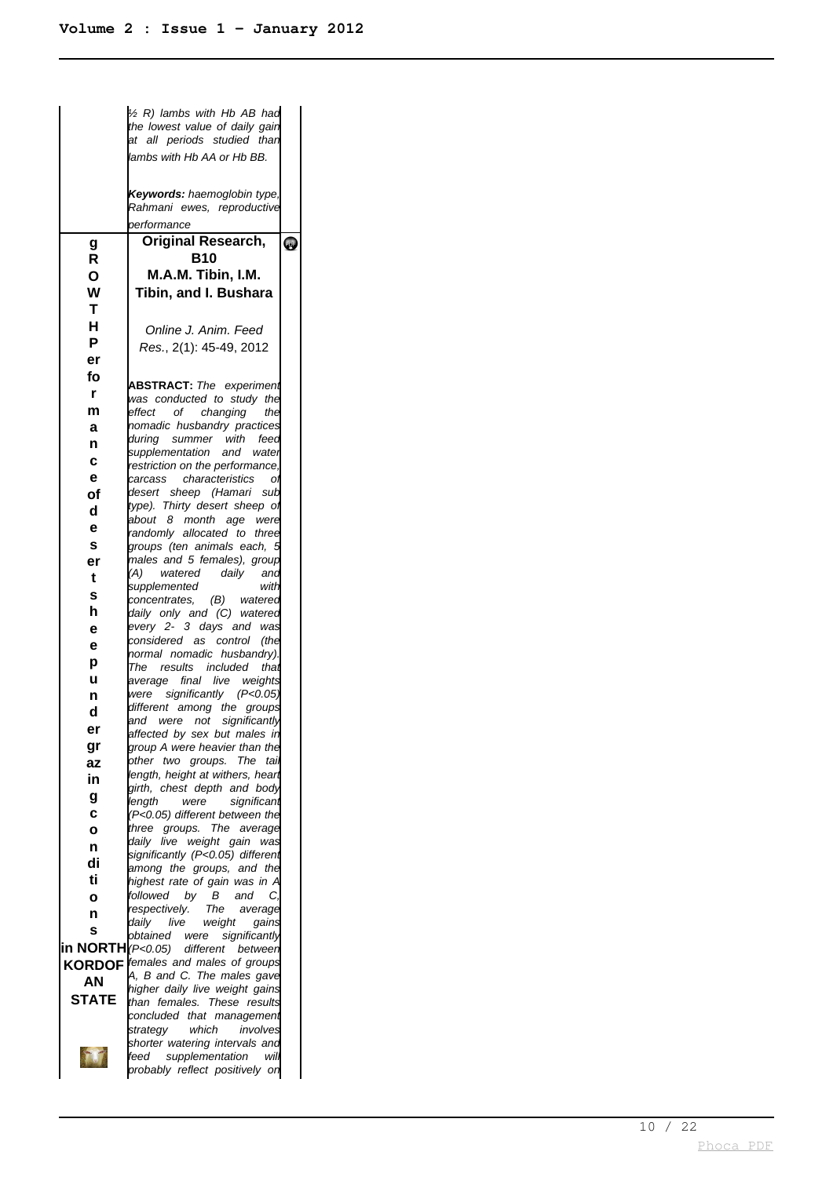|                             | 1/2 R) lambs with Hb AB had                                       |           |
|-----------------------------|-------------------------------------------------------------------|-----------|
|                             | the lowest value of daily gain<br>at all periods studied than     |           |
|                             | lambs with Hb AA or Hb BB.                                        |           |
|                             | Keywords: haemoglobin type,<br>Rahmani ewes, reproductive         |           |
|                             | performance                                                       |           |
| g                           | <b>Original Research,</b>                                         | <b>PF</b> |
| R                           | B10                                                               |           |
| O                           | M.A.M. Tibin, I.M.                                                |           |
| W<br>т                      | Tibin, and I. Bushara                                             |           |
| Н                           |                                                                   |           |
| P                           | Online J. Anim. Feed                                              |           |
| er                          | Res., 2(1): 45-49, 2012                                           |           |
| fo                          |                                                                   |           |
| r                           | <b>ABSTRACT:</b> The experiment<br>was conducted to study the     |           |
| m                           | effect of changing<br>the                                         |           |
| а                           | nomadic husbandry practices                                       |           |
| n                           | during summer with feed                                           |           |
| C                           | supplementation and water<br>restriction on the performance,      |           |
| е                           | carcass characteristics<br>O                                      |           |
| οf                          | desert sheep (Hamari sub                                          |           |
| d                           | type). Thirty desert sheep of<br>about 8 month age were           |           |
| е                           | randomly allocated to three                                       |           |
| s                           | groups (ten animals each, 5                                       |           |
| er                          | males and 5 females), group<br>(A) watered daily<br>and           |           |
| t                           | supplemented<br>with                                              |           |
| s                           | concentrates, (B) watered                                         |           |
| h                           | daily only and (C) watered<br>every 2- 3 days and was             |           |
| е<br>е                      | considered as control<br>(the                                     |           |
| р                           | normal nomadic husbandry).                                        |           |
| u                           | The results included<br>that<br>average final live weights        |           |
| n                           | were significantly (P<0.05)                                       |           |
| d                           | different among the groups                                        |           |
| er                          | and were not significantly<br>affected by sex but males in        |           |
| gr                          | group A were heavier than the                                     |           |
| az                          | other two groups.<br>The<br>tail                                  |           |
| in                          | length, height at withers, heart<br>girth, chest depth and body   |           |
| g                           | length<br>were<br>significant                                     |           |
| C                           | (P<0.05) different between the                                    |           |
| O                           | three groups.<br>The<br>average<br>daily live weight gain<br>was  |           |
| n                           | significantly (P<0.05) different                                  |           |
| di<br>ti                    | among the groups, and the                                         |           |
| O                           | highest rate of gain was in A<br>by B<br>followed<br>and<br>C,    |           |
| n                           | respectively.<br>The<br>average                                   |           |
| S                           | daily<br>live<br>weight<br>gains                                  |           |
| in NORTH <i>(P&lt;0.05)</i> | obtained<br>significantly<br>were<br>different between            |           |
| <b>KORDOF</b>               | females and males of groups                                       |           |
| AN                          | A, B and C. The males gave                                        |           |
| <b>STATE</b>                | higher daily live weight gains<br>than females. These results     |           |
|                             | concluded that management                                         |           |
|                             | strategy<br>which<br>involves                                     |           |
|                             | shorter watering intervals and<br>supplementation<br>feed<br>will |           |
|                             | probably reflect positively on                                    |           |
|                             |                                                                   |           |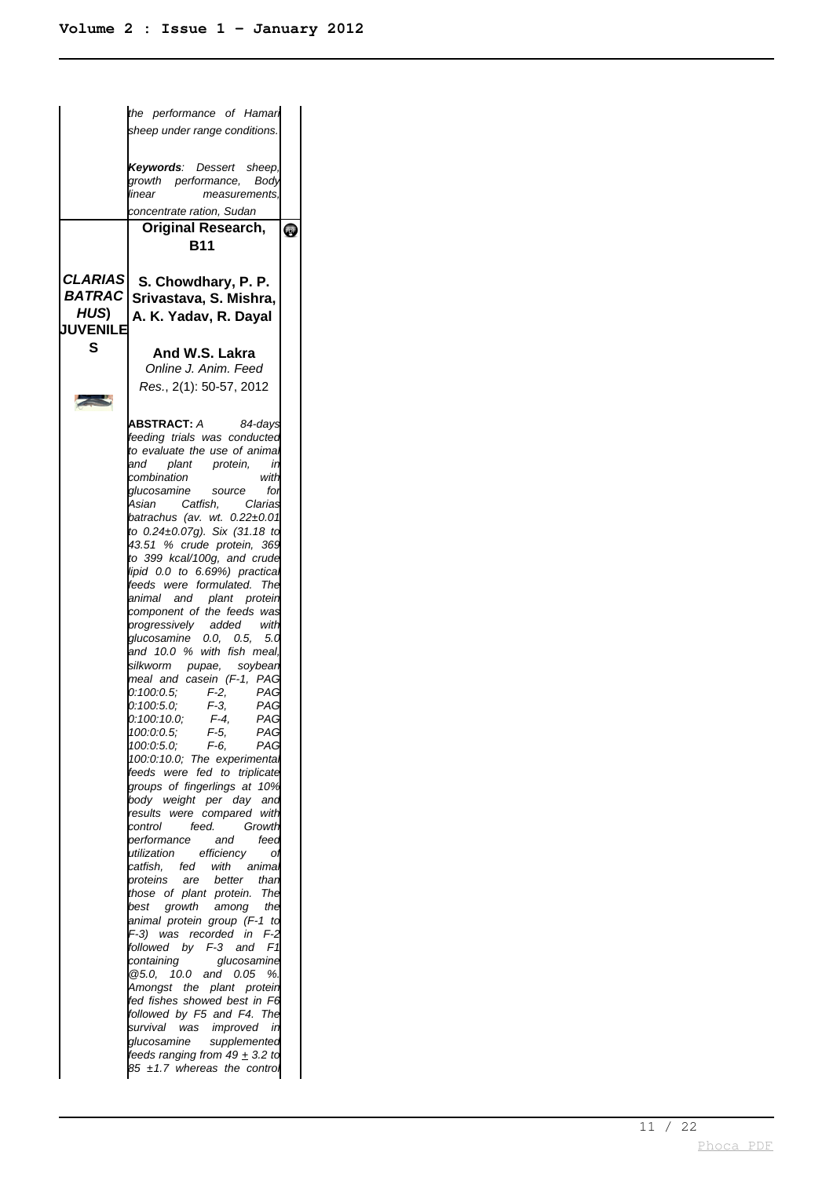|                         | the performance of Hamar                                                                                                                                                                                                                                                                                                                                                                                                                                                                                                                                                                                                                                                                                                                                                                                                                                                                                                                                                                                                                                                                                                   |              |
|-------------------------|----------------------------------------------------------------------------------------------------------------------------------------------------------------------------------------------------------------------------------------------------------------------------------------------------------------------------------------------------------------------------------------------------------------------------------------------------------------------------------------------------------------------------------------------------------------------------------------------------------------------------------------------------------------------------------------------------------------------------------------------------------------------------------------------------------------------------------------------------------------------------------------------------------------------------------------------------------------------------------------------------------------------------------------------------------------------------------------------------------------------------|--------------|
|                         | sheep under range conditions.                                                                                                                                                                                                                                                                                                                                                                                                                                                                                                                                                                                                                                                                                                                                                                                                                                                                                                                                                                                                                                                                                              |              |
|                         | <b>Keywords</b> : Dessert sheep,<br>growth performance, Body<br>measurements,<br>linear<br>concentrate ration, Sudan                                                                                                                                                                                                                                                                                                                                                                                                                                                                                                                                                                                                                                                                                                                                                                                                                                                                                                                                                                                                       |              |
|                         | Original Research,                                                                                                                                                                                                                                                                                                                                                                                                                                                                                                                                                                                                                                                                                                                                                                                                                                                                                                                                                                                                                                                                                                         | $\mathbf{Q}$ |
|                         | B11                                                                                                                                                                                                                                                                                                                                                                                                                                                                                                                                                                                                                                                                                                                                                                                                                                                                                                                                                                                                                                                                                                                        |              |
| HUS)<br><b>JUVENILE</b> | CLARIAS S. Chowdhary, P. P.<br>BATRAC Srivastava, S. Mishra,<br>A. K. Yadav, R. Dayal                                                                                                                                                                                                                                                                                                                                                                                                                                                                                                                                                                                                                                                                                                                                                                                                                                                                                                                                                                                                                                      |              |
| S                       | And W.S. Lakra                                                                                                                                                                                                                                                                                                                                                                                                                                                                                                                                                                                                                                                                                                                                                                                                                                                                                                                                                                                                                                                                                                             |              |
|                         | Online J. Anim. Feed<br>Res., 2(1): 50-57, 2012                                                                                                                                                                                                                                                                                                                                                                                                                                                                                                                                                                                                                                                                                                                                                                                                                                                                                                                                                                                                                                                                            |              |
|                         |                                                                                                                                                                                                                                                                                                                                                                                                                                                                                                                                                                                                                                                                                                                                                                                                                                                                                                                                                                                                                                                                                                                            |              |
|                         | ABSTRACT: A 84-days<br>feeding trials was conducted<br>to evaluate the use of animal<br>plant protein,<br>and<br>in<br>combination<br>with<br>glucosamine source<br>for<br>Asian Catfish, Clarias<br>batrachus (av. wt. 0.22±0.01<br>to 0.24±0.07g). Six (31.18 to<br>43.51 % crude protein, 369<br>to 399 kcal/100g, and crude<br>lipid 0.0 to 6.69%) practical<br>feeds were formulated. The<br>animal and plant protein<br>component of the feeds was<br>progressively added with<br>glucosamine 0.0, 0.5, 5.0<br>and 10.0 % with fish meal,<br>silkworm pupae, soybean<br>meal and casein (F-1, PAG<br>0.100.0.5.<br>$F-2$ ,<br>PAG<br>F-3,<br>F-4,<br>0:100:5.0;<br>0:100:10.0;<br>PAG<br>PAG<br>100.0.0.5.<br>F-5,<br>PAG<br>100:0:5.0.<br>F-6.<br>PAG<br>100:0:10.0; The experimental<br>feeds were fed to triplicate<br>groups of fingerlings at 10%<br>body weight per day<br>and<br>results were compared with<br>control<br>feed.<br>Growth<br>feed<br>performance<br>and<br>utilization<br>efficiency<br>Ol<br>catfish.<br>fed with animal<br>proteins<br>are better<br>than<br>those of plant protein.<br>The |              |
|                         | best growth among<br>the<br>animal protein group (F-1 to<br>F-3) was recorded in<br>$F-2$<br>followed by F-3 and<br>F1                                                                                                                                                                                                                                                                                                                                                                                                                                                                                                                                                                                                                                                                                                                                                                                                                                                                                                                                                                                                     |              |
|                         | containing<br>glucosamine<br>10.0<br>@5.0,<br>and 0.05<br>%<br>Amongst the plant protein<br>fed fishes showed best in F6<br>followed by F5 and F4. The<br>survival was improved<br>in<br>glucosamine supplemented<br>feeds ranging from 49 $\pm$ 3.2 to<br>85 $±1.7$ whereas the control                                                                                                                                                                                                                                                                                                                                                                                                                                                                                                                                                                                                                                                                                                                                                                                                                                   |              |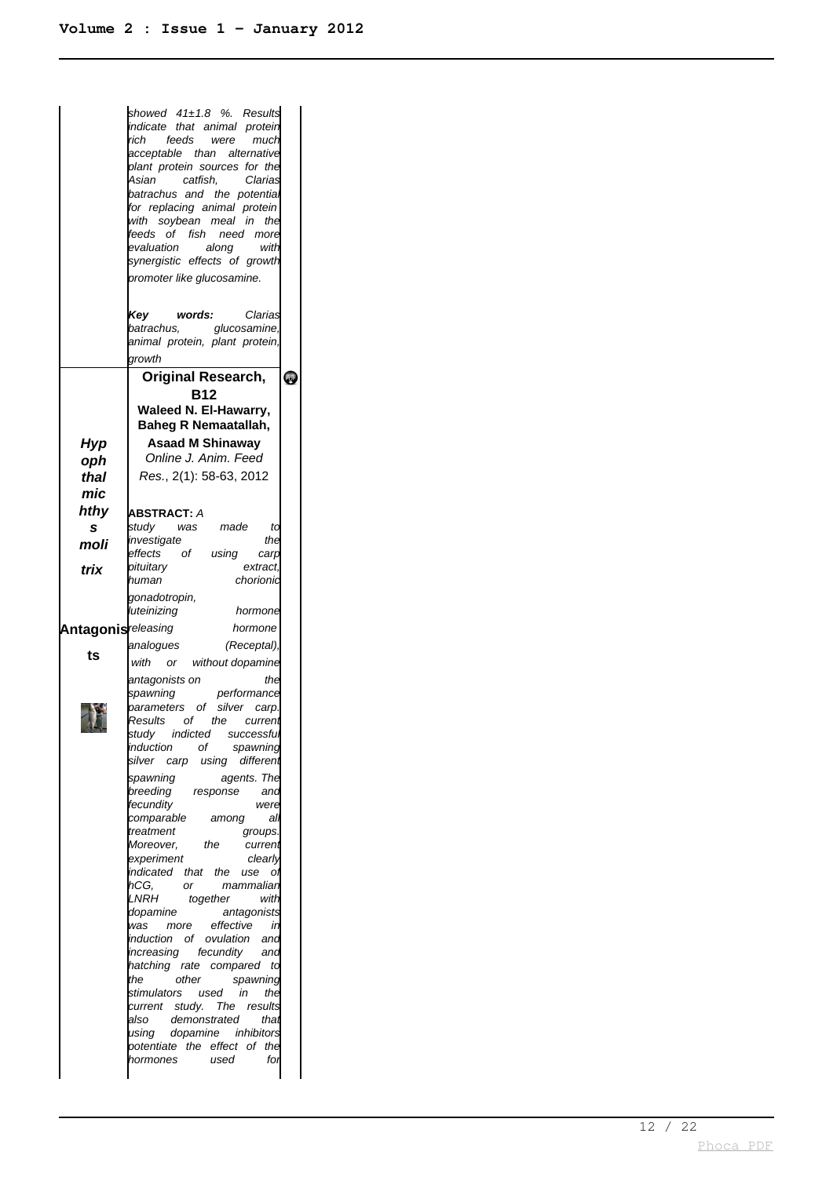|                            | showed 41±1.8 %. Results<br>indicate that animal protein<br>rich<br>feeds were<br>much<br>acceptable than alternative<br>plant protein sources for the<br>Asian catfish,<br>Clarias<br>batrachus and the potential<br>for replacing animal protein<br>with soybean meal in<br>the<br>feeds of fish need more<br>evaluation<br>along<br>with<br>synergistic effects of growth<br>promoter like glucosamine.<br>Key<br>words:<br>Clarias<br>batrachus,<br>glucosamine,<br>animal protein, plant protein,<br>growth |           |
|----------------------------|------------------------------------------------------------------------------------------------------------------------------------------------------------------------------------------------------------------------------------------------------------------------------------------------------------------------------------------------------------------------------------------------------------------------------------------------------------------------------------------------------------------|-----------|
|                            | <b>Original Research,</b>                                                                                                                                                                                                                                                                                                                                                                                                                                                                                        | <b>PF</b> |
|                            | <b>B12</b>                                                                                                                                                                                                                                                                                                                                                                                                                                                                                                       |           |
|                            | <b>Waleed N. El-Hawarry,</b><br><b>Baheg R Nemaatallah,</b>                                                                                                                                                                                                                                                                                                                                                                                                                                                      |           |
| Hyp                        | <b>Asaad M Shinaway</b>                                                                                                                                                                                                                                                                                                                                                                                                                                                                                          |           |
| oph                        | Online J. Anim. Feed                                                                                                                                                                                                                                                                                                                                                                                                                                                                                             |           |
| thal                       | Res., 2(1): 58-63, 2012                                                                                                                                                                                                                                                                                                                                                                                                                                                                                          |           |
| mic                        |                                                                                                                                                                                                                                                                                                                                                                                                                                                                                                                  |           |
| hthy                       | <b>ABSTRACT: A</b>                                                                                                                                                                                                                                                                                                                                                                                                                                                                                               |           |
| s                          | study was made<br>td                                                                                                                                                                                                                                                                                                                                                                                                                                                                                             |           |
| moli                       | investigate<br>the<br>of using<br>effects<br>carp                                                                                                                                                                                                                                                                                                                                                                                                                                                                |           |
| trix                       | pituitary<br>extract.                                                                                                                                                                                                                                                                                                                                                                                                                                                                                            |           |
|                            | human<br>chorionid                                                                                                                                                                                                                                                                                                                                                                                                                                                                                               |           |
|                            | gonadotropin,<br>luteinizing<br>hormone                                                                                                                                                                                                                                                                                                                                                                                                                                                                          |           |
| <b>Antagonis</b> releasing | hormone                                                                                                                                                                                                                                                                                                                                                                                                                                                                                                          |           |
|                            | analogues<br>(Receptal),                                                                                                                                                                                                                                                                                                                                                                                                                                                                                         |           |
| ts                         | with or without dopamine                                                                                                                                                                                                                                                                                                                                                                                                                                                                                         |           |
|                            | the<br>antagonists on                                                                                                                                                                                                                                                                                                                                                                                                                                                                                            |           |
|                            | spawning              performance<br>parameters    of    silver    carp.                                                                                                                                                                                                                                                                                                                                                                                                                                         |           |
|                            | Results of the current                                                                                                                                                                                                                                                                                                                                                                                                                                                                                           |           |
|                            | study indicted successfu                                                                                                                                                                                                                                                                                                                                                                                                                                                                                         |           |
|                            | of<br>induction<br>spawning                                                                                                                                                                                                                                                                                                                                                                                                                                                                                      |           |
|                            | silver<br>different<br>carp using                                                                                                                                                                                                                                                                                                                                                                                                                                                                                |           |
|                            | spawning<br>agents. The<br>breeding<br>response<br>and                                                                                                                                                                                                                                                                                                                                                                                                                                                           |           |
|                            | fecundity<br>were                                                                                                                                                                                                                                                                                                                                                                                                                                                                                                |           |
|                            | comparable<br>among<br>alı<br>treatment                                                                                                                                                                                                                                                                                                                                                                                                                                                                          |           |
|                            | groups.<br>the<br>Moreover.<br>current                                                                                                                                                                                                                                                                                                                                                                                                                                                                           |           |
|                            | experiment<br>clearly                                                                                                                                                                                                                                                                                                                                                                                                                                                                                            |           |
|                            | indicated that the<br>use<br>Οl<br>hCG.<br>or<br>mammaliar                                                                                                                                                                                                                                                                                                                                                                                                                                                       |           |
|                            | LNRH<br>together<br>with                                                                                                                                                                                                                                                                                                                                                                                                                                                                                         |           |
|                            | dopamine<br>antagonists                                                                                                                                                                                                                                                                                                                                                                                                                                                                                          |           |
|                            | more effective<br>in<br>was<br>induction of ovulation<br>and                                                                                                                                                                                                                                                                                                                                                                                                                                                     |           |
|                            | increasing fecundity<br>and                                                                                                                                                                                                                                                                                                                                                                                                                                                                                      |           |
|                            | hatching rate compared<br>td<br>the<br>other<br>spawning                                                                                                                                                                                                                                                                                                                                                                                                                                                         |           |
|                            | in<br>the<br>stimulators used                                                                                                                                                                                                                                                                                                                                                                                                                                                                                    |           |
|                            | current study. The results                                                                                                                                                                                                                                                                                                                                                                                                                                                                                       |           |
|                            | demonstrated<br>also<br>that<br>using dopamine inhibitors                                                                                                                                                                                                                                                                                                                                                                                                                                                        |           |
|                            | potentiate the effect of<br>the                                                                                                                                                                                                                                                                                                                                                                                                                                                                                  |           |
|                            | hormones<br>for<br>used                                                                                                                                                                                                                                                                                                                                                                                                                                                                                          |           |
|                            |                                                                                                                                                                                                                                                                                                                                                                                                                                                                                                                  |           |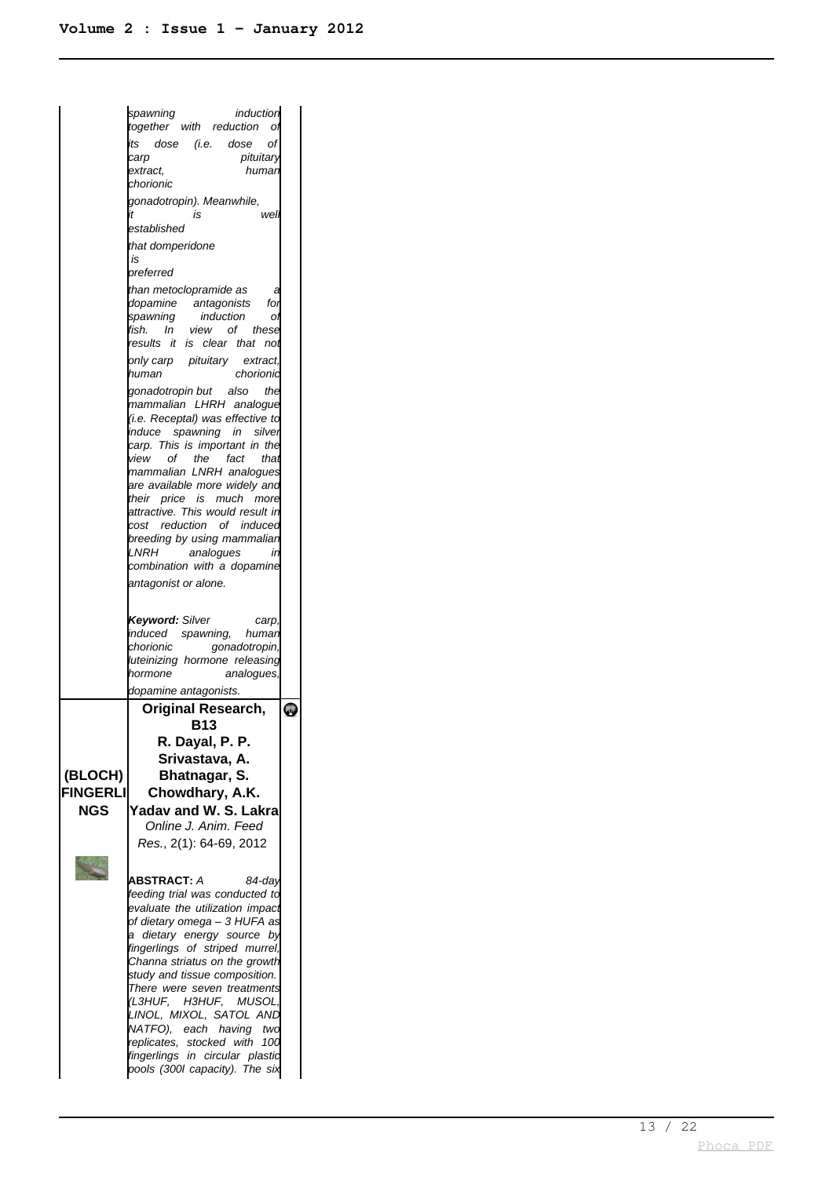spawning induction together with reduction of its dose (i.e. dose of pituitary extract, human chorionic gonadotropin). Meanwhile, is well established that domperidone is preferred than metoclopramide as dopamine antagonists for<br>spawning induction of induction of fish. In view of these results it is clear that not only carp pituitary extract,<br>human chorionic chorionic gonadotropin but also the mammalian LHRH analogue (i.e. Receptal) was effective to induce spawning in silver carp. This is important in the view of the fact that mammalian LNRH analogues are available more widely and their price is much more attractive. This would result in cost reduction of induced breeding by using mammalian LNRH analogues in combination with a dopamine antagonist or alone. **Keyword:** Silver carp induced spawning, human chorionic gonadotropin, luteinizing hormone releasing hormone analogues dopamine antagonists. **Original Research, LED B13 R. Dayal, P. P. Srivastava, A. (BLOCH) Bhatnagar, S. FINGERLI Chowdhary, A.K. NGS Yadav and W. S. Lakra** Online J. Anim. Feed Res., 2(1): 64-69, 2012 **ABSTRACT:** A 84-day feeding trial was conducted to evaluate the utilization impact of dietary omega – 3 HUFA as a dietary energy source by fingerlings of striped murrel, Channa striatus on the growth study and tissue composition. There were seven treatments (L3HUF, H3HUF, MUSOL, LINOL, MIXOL, SATOL AND NATFO), each having two replicates, stocked with 100 fingerlings in circular plastic pools (300l capacity). The six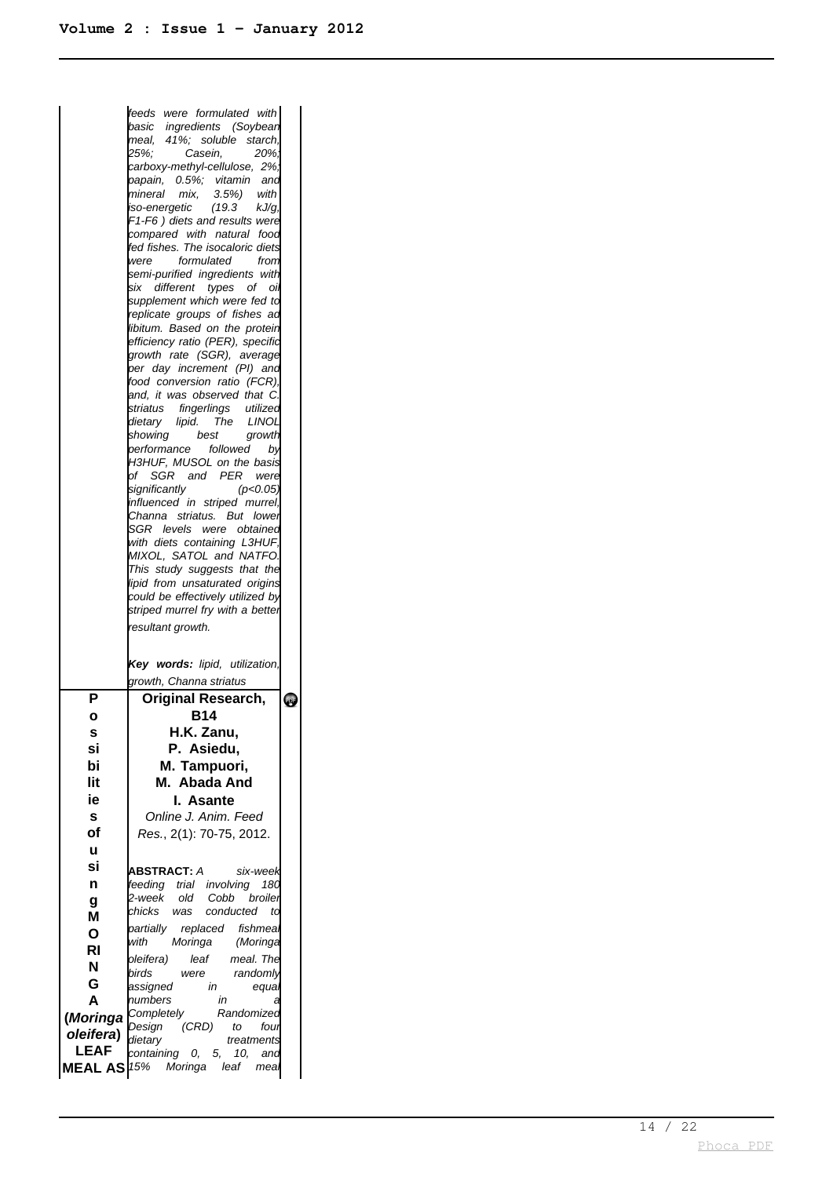|             | feeds were formulated with <br>basic ingredients (Soybean<br>meal, 41%; soluble starch,<br>25%.<br>Casein,<br>20%.<br>carboxy-methyl-cellulose, 2%,<br>papain, 0.5%; vitamin and<br>3.5%<br>mineral<br>mix,<br>with<br>iso-energetic<br>(19.3)<br>kJ/g,<br>F1-F6) diets and results were<br>compared with natural food<br>fed fishes. The isocaloric diets<br>formulated<br>were<br>from<br>semi-purified ingredients with<br>six different types of oil<br>supplement which were fed to<br>replicate groups of fishes ad<br>libitum. Based on the protein<br>efficiency ratio (PER), specific<br>growth rate (SGR), average<br>per day increment (PI) and<br>food conversion ratio (FCR),<br>and, it was observed that C.<br>striatus fingerlings utilized<br>dietary lipid. The LINOL<br>showing best<br>growth<br>performance followed by<br>H3HUF, MUSOL on the basis<br>of SGR and PER were<br>significantly<br>(p<0.05)<br>influenced in striped murrel,<br>Channa striatus. But lower<br>SGR levels were obtained<br>with diets containing L3HUF,<br>MIXOL, SATOL and NATFO.<br>This study suggests that the<br>lipid from unsaturated origins<br>could be effectively utilized by<br>striped murrel fry with a better<br>resultant growth. |            |
|-------------|----------------------------------------------------------------------------------------------------------------------------------------------------------------------------------------------------------------------------------------------------------------------------------------------------------------------------------------------------------------------------------------------------------------------------------------------------------------------------------------------------------------------------------------------------------------------------------------------------------------------------------------------------------------------------------------------------------------------------------------------------------------------------------------------------------------------------------------------------------------------------------------------------------------------------------------------------------------------------------------------------------------------------------------------------------------------------------------------------------------------------------------------------------------------------------------------------------------------------------------------------|------------|
|             | Key words: lipid, utilization,<br>growth, Channa striatus                                                                                                                                                                                                                                                                                                                                                                                                                                                                                                                                                                                                                                                                                                                                                                                                                                                                                                                                                                                                                                                                                                                                                                                          |            |
| Ρ           | <b>Original Research,</b>                                                                                                                                                                                                                                                                                                                                                                                                                                                                                                                                                                                                                                                                                                                                                                                                                                                                                                                                                                                                                                                                                                                                                                                                                          | <b>PDF</b> |
| ο           | B14                                                                                                                                                                                                                                                                                                                                                                                                                                                                                                                                                                                                                                                                                                                                                                                                                                                                                                                                                                                                                                                                                                                                                                                                                                                |            |
| s           | H.K. Zanu,                                                                                                                                                                                                                                                                                                                                                                                                                                                                                                                                                                                                                                                                                                                                                                                                                                                                                                                                                                                                                                                                                                                                                                                                                                         |            |
| Sİ          | P. Asiedu,                                                                                                                                                                                                                                                                                                                                                                                                                                                                                                                                                                                                                                                                                                                                                                                                                                                                                                                                                                                                                                                                                                                                                                                                                                         |            |
| bi          | M. Tampuori,                                                                                                                                                                                                                                                                                                                                                                                                                                                                                                                                                                                                                                                                                                                                                                                                                                                                                                                                                                                                                                                                                                                                                                                                                                       |            |
| lit         | M. Abada And                                                                                                                                                                                                                                                                                                                                                                                                                                                                                                                                                                                                                                                                                                                                                                                                                                                                                                                                                                                                                                                                                                                                                                                                                                       |            |
| ie          | I. Asante                                                                                                                                                                                                                                                                                                                                                                                                                                                                                                                                                                                                                                                                                                                                                                                                                                                                                                                                                                                                                                                                                                                                                                                                                                          |            |
| S           | Online J. Anim. Feed                                                                                                                                                                                                                                                                                                                                                                                                                                                                                                                                                                                                                                                                                                                                                                                                                                                                                                                                                                                                                                                                                                                                                                                                                               |            |
| οf          | Res., 2(1): 70-75, 2012.                                                                                                                                                                                                                                                                                                                                                                                                                                                                                                                                                                                                                                                                                                                                                                                                                                                                                                                                                                                                                                                                                                                                                                                                                           |            |
| u           |                                                                                                                                                                                                                                                                                                                                                                                                                                                                                                                                                                                                                                                                                                                                                                                                                                                                                                                                                                                                                                                                                                                                                                                                                                                    |            |
| si          | <b>ABSTRACT:</b> A<br>six-week                                                                                                                                                                                                                                                                                                                                                                                                                                                                                                                                                                                                                                                                                                                                                                                                                                                                                                                                                                                                                                                                                                                                                                                                                     |            |
| n           | feeding trial involving<br>180                                                                                                                                                                                                                                                                                                                                                                                                                                                                                                                                                                                                                                                                                                                                                                                                                                                                                                                                                                                                                                                                                                                                                                                                                     |            |
| g           | old Cobb<br>2-week<br>broiler                                                                                                                                                                                                                                                                                                                                                                                                                                                                                                                                                                                                                                                                                                                                                                                                                                                                                                                                                                                                                                                                                                                                                                                                                      |            |
| M           | chicks<br>conducted<br>was<br>td                                                                                                                                                                                                                                                                                                                                                                                                                                                                                                                                                                                                                                                                                                                                                                                                                                                                                                                                                                                                                                                                                                                                                                                                                   |            |
| Ο           | replaced fishmeal<br>partially                                                                                                                                                                                                                                                                                                                                                                                                                                                                                                                                                                                                                                                                                                                                                                                                                                                                                                                                                                                                                                                                                                                                                                                                                     |            |
| RI          | with<br>Moringa<br>(Moringa                                                                                                                                                                                                                                                                                                                                                                                                                                                                                                                                                                                                                                                                                                                                                                                                                                                                                                                                                                                                                                                                                                                                                                                                                        |            |
| N           | oleifera)<br>meal. The<br>leaf                                                                                                                                                                                                                                                                                                                                                                                                                                                                                                                                                                                                                                                                                                                                                                                                                                                                                                                                                                                                                                                                                                                                                                                                                     |            |
| G           | birds<br>randomly<br>were<br>in                                                                                                                                                                                                                                                                                                                                                                                                                                                                                                                                                                                                                                                                                                                                                                                                                                                                                                                                                                                                                                                                                                                                                                                                                    |            |
| A           | assigned<br>equa<br>numbers<br>in<br>а                                                                                                                                                                                                                                                                                                                                                                                                                                                                                                                                                                                                                                                                                                                                                                                                                                                                                                                                                                                                                                                                                                                                                                                                             |            |
| (Moringa    | Completely<br>Randomized                                                                                                                                                                                                                                                                                                                                                                                                                                                                                                                                                                                                                                                                                                                                                                                                                                                                                                                                                                                                                                                                                                                                                                                                                           |            |
| oleifera)   | Design<br>(CRD)<br>four<br>to                                                                                                                                                                                                                                                                                                                                                                                                                                                                                                                                                                                                                                                                                                                                                                                                                                                                                                                                                                                                                                                                                                                                                                                                                      |            |
| <b>LEAF</b> | dietary<br>treatments<br>containing 0,<br>5,<br>10.<br>and                                                                                                                                                                                                                                                                                                                                                                                                                                                                                                                                                                                                                                                                                                                                                                                                                                                                                                                                                                                                                                                                                                                                                                                         |            |
|             | <b>MEAL AS</b> 15% Moringa<br>leaf<br>mea                                                                                                                                                                                                                                                                                                                                                                                                                                                                                                                                                                                                                                                                                                                                                                                                                                                                                                                                                                                                                                                                                                                                                                                                          |            |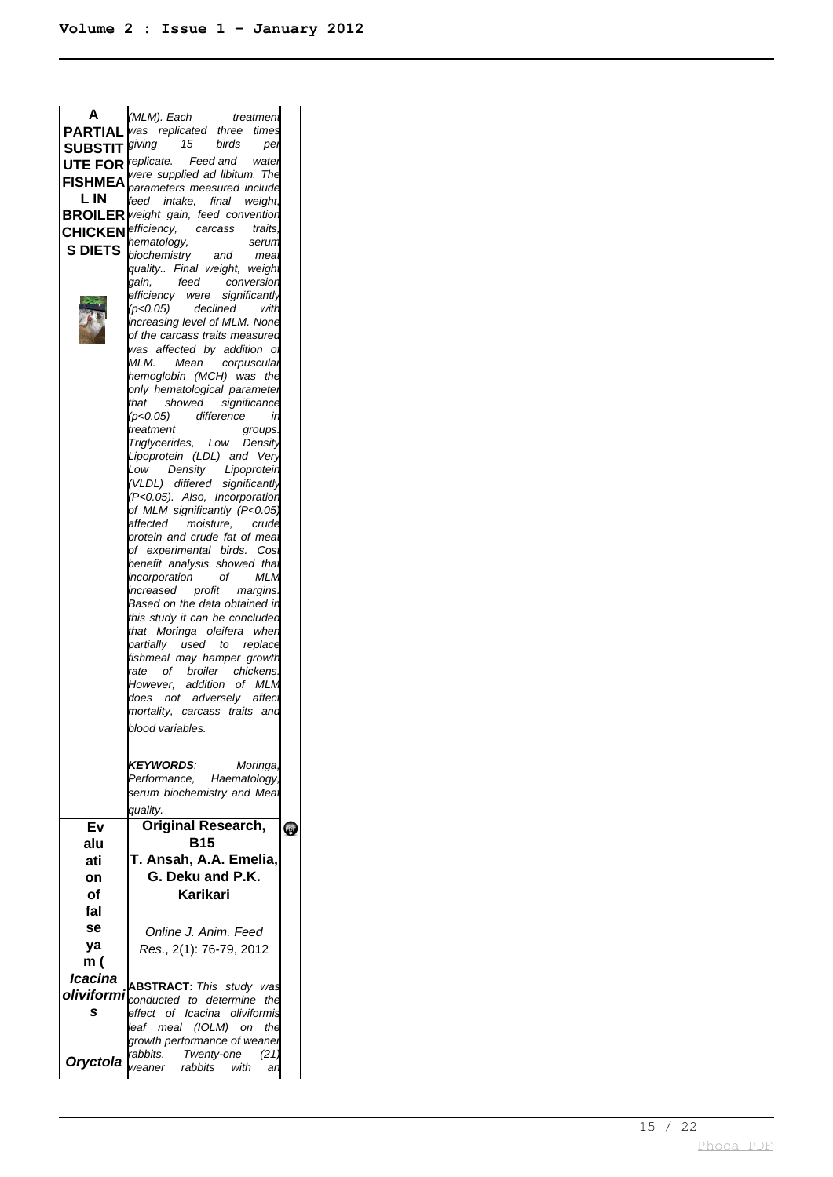| A              | (MLM). Each<br>treatment                                                    |           |
|----------------|-----------------------------------------------------------------------------|-----------|
| <b>PARTIAL</b> | was replicated three times                                                  |           |
| <b>SUBSTIT</b> | giving<br>15<br>birds<br>per                                                |           |
|                | <b>UTE FOR</b> <i>replicate.</i> Feed and water                             |           |
|                | were supplied ad libitum. The<br><b>FISHMEA</b> parameters measured include |           |
| L IN           | feed intake, final                                                          |           |
|                | weight,<br><b>BROILER</b> weight gain, feed convention                      |           |
|                | <b>CHICKEN</b> efficiency, carcass traits,                                  |           |
|                | hematology,<br>serum                                                        |           |
| <b>S DIETS</b> |                                                                             |           |
|                | biochemistry and meat<br>quality Final weight, weight                       |           |
|                | gain,<br>feed conversion                                                    |           |
|                | efficiency were significantly                                               |           |
|                | $(p<0.05)$ declined<br>with                                                 |           |
|                | increasing level of MLM. None                                               |           |
|                | of the carcass traits measured                                              |           |
|                | was affected by addition of                                                 |           |
|                | MLM.<br>Mean corpusculai                                                    |           |
|                | hemoglobin (MCH) was<br>the                                                 |           |
|                | only hematological parameter<br>showed significance<br>that                 |           |
|                | difference<br>(p<0.05)<br>in                                                |           |
|                | treatment<br>groups.                                                        |           |
|                | Triglycerides, Low Density                                                  |           |
|                | Lipoprotein (LDL) and Very                                                  |           |
|                | Low<br>Density Lipoprotein                                                  |           |
|                | (VLDL) differed significantly                                               |           |
|                | (P<0.05). Also, Incorporation                                               |           |
|                | of MLM significantly (P<0.05)                                               |           |
|                | moisture, crude<br>affected                                                 |           |
|                | protein and crude fat of meat                                               |           |
|                | of experimental birds. Cost<br>benefit analysis showed that                 |           |
|                | <b>MLM</b><br>incorporation<br>of                                           |           |
|                | increased<br>profit margins.                                                |           |
|                | Based on the data obtained in                                               |           |
|                | this study it can be concluded                                              |           |
|                | that Moringa oleifera when                                                  |           |
|                | partially used to replace                                                   |           |
|                | fishmeal may hamper growth                                                  |           |
|                | rate of broiler chickens.                                                   |           |
|                | However, addition of MLM                                                    |           |
|                | does not adversely affect                                                   |           |
|                | mortality, carcass traits and                                               |           |
|                | blood variables.                                                            |           |
|                |                                                                             |           |
|                | <b>KEYWORDS:</b><br>Moringa,                                                |           |
|                | Performance, Haematology,                                                   |           |
|                | serum biochemistry and Meat                                                 |           |
|                | quality.                                                                    |           |
| Ev             | <b>Original Research,</b>                                                   |           |
|                | B15                                                                         | <b>QJ</b> |
| alu            |                                                                             |           |
| ati            | T. Ansah, A.A. Emelia,                                                      |           |
| on             | G. Deku and P.K.                                                            |           |
| Οf             | Karikari                                                                    |           |
| fal            |                                                                             |           |
| se             |                                                                             |           |
| ya             | Online J. Anim. Feed                                                        |           |
|                | Res., 2(1): 76-79, 2012                                                     |           |
| m (            |                                                                             |           |
| Icacina        | <b>ABSTRACT:</b> This study was                                             |           |
| oliviformi     |                                                                             |           |
|                | conducted to determine<br>the                                               |           |
| S              | effect of Icacina oliviformis                                               |           |
|                | leaf meal (IOLM) on<br>the                                                  |           |
|                | growth performance of weaner                                                |           |
|                | rabbits. Twenty-one<br>(21)                                                 |           |
| Oryctola       | weaner rabbits with<br>ar                                                   |           |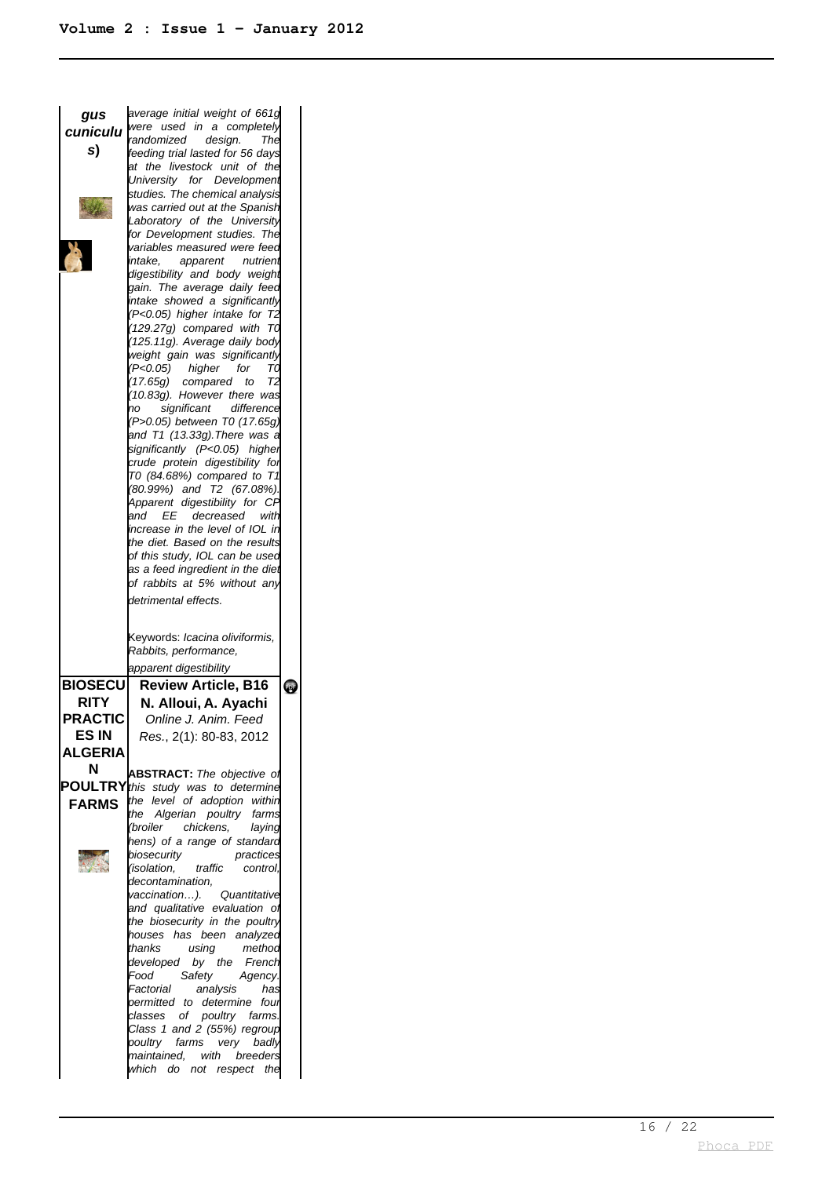| gus            | average initial weight of 661g                                  |                     |
|----------------|-----------------------------------------------------------------|---------------------|
| cuniculu       | were used in a completely                                       |                     |
|                | randomized<br>design.<br>The                                    |                     |
| s)             | feeding trial lasted for 56 days                                |                     |
|                | at the livestock unit of the                                    |                     |
|                | University for Development                                      |                     |
|                | studies. The chemical analysis                                  |                     |
|                | was carried out at the Spanish                                  |                     |
|                | Laboratory of the University                                    |                     |
|                | for Development studies. The                                    |                     |
|                | variables measured were feed                                    |                     |
|                | intake.<br>apparent<br>nutrient                                 |                     |
|                | digestibility and body weight                                   |                     |
|                | gain. The average daily feed                                    |                     |
|                | intake showed a significantly                                   |                     |
|                | (P<0.05) higher intake for T2                                   |                     |
|                | $(129.27g)$ compared with T0                                    |                     |
|                | (125.11g). Average daily body                                   |                     |
|                | weight gain was significantly                                   |                     |
|                | (P<0.05) higher<br>for<br>TΟ                                    |                     |
|                | (17.65g) compared to<br>Τ2                                      |                     |
|                | (10.83g). However there was                                     |                     |
|                | significant<br>difference<br>no                                 |                     |
|                | (P>0.05) between T0 (17.65g)                                    |                     |
|                | and T1 (13.33g).There was a                                     |                     |
|                | significantly (P<0.05) higher                                   |                     |
|                | crude protein digestibility for                                 |                     |
|                | T0 (84.68%) compared to T1                                      |                     |
|                | (80.99%) and T2 (67.08%).                                       |                     |
|                | Apparent digestibility for CF                                   |                     |
|                | and EE decreased with                                           |                     |
|                | increase in the level of IOL in                                 |                     |
|                | the diet. Based on the results                                  |                     |
|                | of this study, IOL can be used                                  |                     |
|                | as a feed ingredient in the diet                                |                     |
|                | of rabbits at 5% without any                                    |                     |
|                |                                                                 |                     |
|                |                                                                 |                     |
|                | detrimental effects.                                            |                     |
|                |                                                                 |                     |
|                | Keywords: Icacina oliviformis,                                  |                     |
|                | Rabbits, performance,                                           |                     |
|                |                                                                 |                     |
|                | apparent digestibility                                          |                     |
| <b>BIOSECU</b> | <b>Review Article, B16</b>                                      | $\ddot{\mathbf{e}}$ |
| RITY           | N. Alloui, A. Ayachi                                            |                     |
| <b>PRACTIC</b> | Online J. Anim. Feed                                            |                     |
|                |                                                                 |                     |
| ES IN          | Res., 2(1): 80-83, 2012                                         |                     |
| <b>ALGERIA</b> |                                                                 |                     |
| N              |                                                                 |                     |
|                | <b>ABSTRACT:</b> The objective of                               |                     |
|                | <b>POULTRY</b> this study was to determine                      |                     |
| <b>FARMS</b>   | the level of adoption within                                    |                     |
|                | the Algerian poultry farms<br>(broiler chickens,                |                     |
|                | laying                                                          |                     |
|                | hens) of a range of standard                                    |                     |
|                | biosecurity<br>practices<br>traffic<br>control.                 |                     |
|                | isolation.)                                                     |                     |
|                | decontamination,<br>vaccination). Quantitative                  |                     |
|                |                                                                 |                     |
|                | and qualitative evaluation of<br>the biosecurity in the poultry |                     |
|                | houses has been analyzed                                        |                     |
|                | thanks<br>using<br>method                                       |                     |
|                | developed by the French                                         |                     |
|                | Food<br>Agency.                                                 |                     |
|                | Safety<br>Factorial<br>analysis<br>has                          |                     |
|                | permitted to determine four                                     |                     |
|                |                                                                 |                     |
|                | classes of poultry farms.                                       |                     |
|                | Class 1 and 2 (55%) regroup<br>poultry farms very badly         |                     |
|                |                                                                 |                     |
|                | maintained, with breeders<br>which do not respect the           |                     |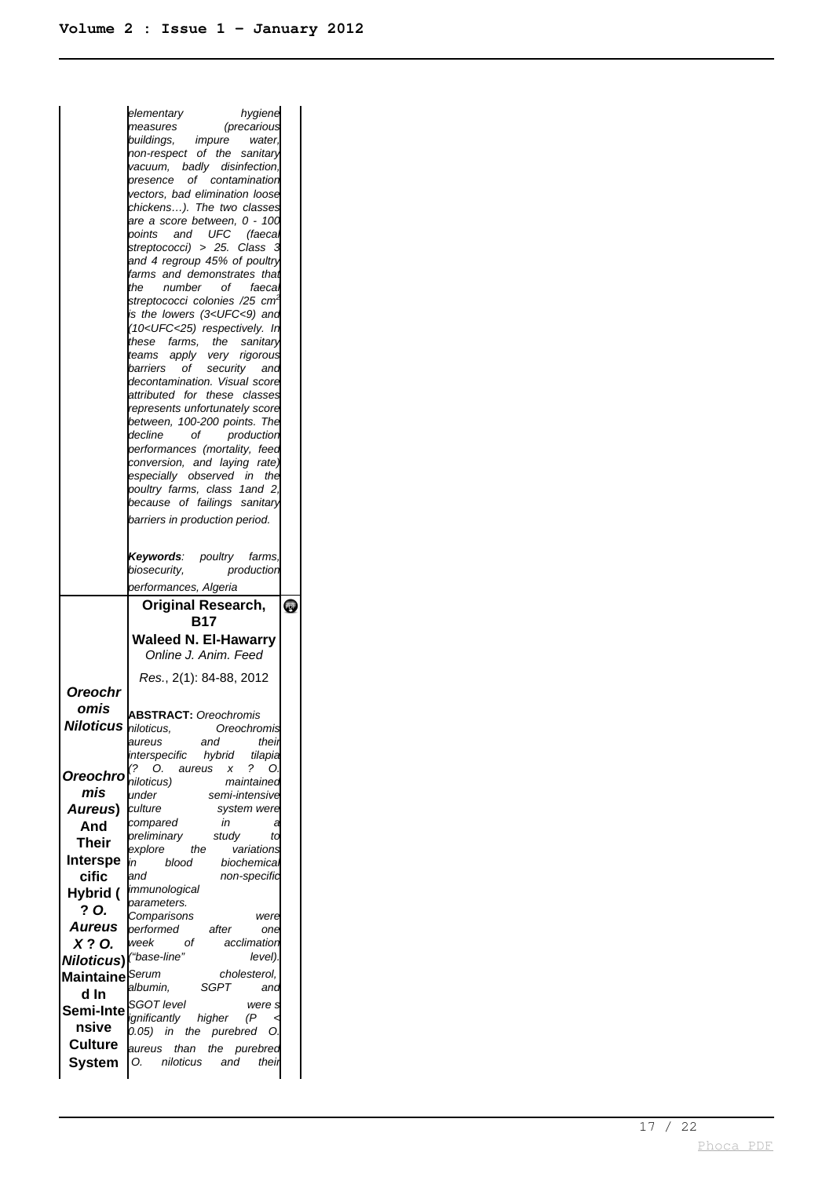|                             | elementary<br>hygiene                                                    |           |
|-----------------------------|--------------------------------------------------------------------------|-----------|
|                             | measures<br><i>(precarious</i>                                           |           |
|                             | buildings, impure<br>water.                                              |           |
|                             | non-respect of the sanitary                                              |           |
|                             | vacuum, badly disinfection,                                              |           |
|                             | presence of contamination                                                |           |
|                             | vectors, bad elimination loose                                           |           |
|                             | chickens). The two classes                                               |           |
|                             | are a score between, 0 - 100<br>points                                   |           |
|                             | and UFC (faecal<br>streptococci) > 25. Class                             |           |
|                             | and 4 regroup 45% of poultry                                             |           |
|                             | farms and demonstrates that                                              |           |
|                             | of __<br>the<br>number<br>faeca                                          |           |
|                             | streptococci colonies /25 cm <sup>2</sup>                                |           |
|                             | is the lowers (3 <ufc<9) and<="" th=""><th></th></ufc<9)>                |           |
|                             | (10 <ufc<25) in<="" respectively.="" th=""><th></th></ufc<25)>           |           |
|                             | these farms, the sanitary                                                |           |
|                             | teams apply very rigorous                                                |           |
|                             | barriers of security and<br>decontamination. Visual score                |           |
|                             | attributed for these classes                                             |           |
|                             | represents unfortunately score                                           |           |
|                             | between, 100-200 points. The                                             |           |
|                             | decline<br>of<br>production                                              |           |
|                             | performances (mortality, feed                                            |           |
|                             | conversion, and laying rate)                                             |           |
|                             | especially observed in the                                               |           |
|                             | poultry farms, class 1and 2,<br>because of failings sanitary             |           |
|                             |                                                                          |           |
|                             | barriers in production period.                                           |           |
|                             |                                                                          |           |
|                             | Keywords: poultry farms,                                                 |           |
|                             | production<br>biosecurity,                                               |           |
|                             | performances, Algeria                                                    |           |
|                             |                                                                          |           |
|                             | Original Research,                                                       |           |
|                             | B17                                                                      |           |
|                             | <b>Waleed N. El-Hawarry</b>                                              |           |
|                             | Online J. Anim. Feed                                                     |           |
|                             | Res., 2(1): 84-88, 2012                                                  |           |
| Oreochr                     |                                                                          |           |
|                             |                                                                          |           |
| omis<br>Niloticus           | <b>ABSTRACT:</b> Oreochromis                                             |           |
|                             | niioticus,<br>Oreochromis                                                |           |
|                             | their<br>aureus<br>and                                                   |           |
|                             | interspecific<br>hybrid<br>tilapia<br>(?<br>?<br>O.<br>aureus<br>x<br>O. |           |
| Oreochro                    | niloticus)<br>maintainec                                                 |           |
| mis                         | lunder<br>semi-intensive                                                 |           |
| Aureus)                     | culture<br>system were                                                   |           |
| And                         | in<br>compared<br>а                                                      |           |
| <b>Their</b>                | preliminary<br>study<br>ta                                               |           |
| Interspe                    | explore<br>the<br>variations<br>in<br>blood<br>biochemica.               |           |
| cific                       | non-specific<br>land                                                     |           |
| Hybrid (                    | immunological                                                            |           |
| ? O.                        | parameters.                                                              |           |
|                             | Comparisons<br>were                                                      |           |
| Aureus                      | performed<br>after<br>one                                                |           |
| X? O.                       | week<br>оf<br>acclimation<br>level).                                     |           |
| <b>Niloticus)</b>           | ("base-line"                                                             |           |
| Maintaine <sup> Serum</sup> | cholesterol,<br>SGPT<br>albumin,<br>and                                  |           |
| d In                        | SGOT level<br>were s                                                     |           |
| Semi-Inte                   | (P)<br>ignificantly<br>higher                                            |           |
| nsive                       | 0.05)<br>in the purebred<br>O.                                           |           |
| <b>Culture</b>              | aureus<br>than the<br>purebred                                           |           |
| <b>System</b>               | niloticus<br>and<br>their<br>Ο.                                          | $\bullet$ |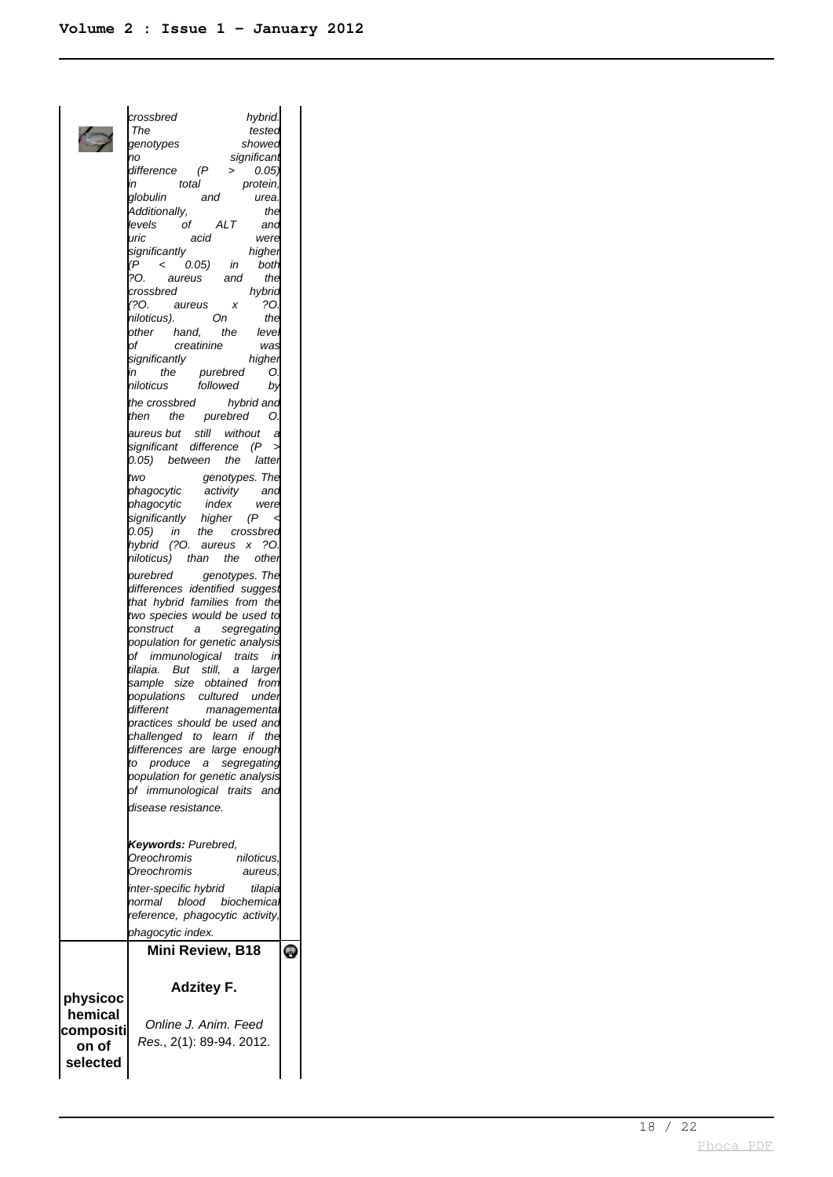crossbred hybrid.<br>The tested tested genotypes showed no significant  $difference$   $(P >$ in total protein, globulin and urea Additionally, the **levels** of ALT and uric acid were significantly higher (P < 0.05) in both ?O. aureus and the<br>crossbred hvbric  $crossbred$ (?O. aureus x ?O. niloticus). On the other hand, the level creatinine significantly higher in the purebred O.<br>niloticus followed by niloticus followed the crossbred hybrid and then the purebred O. aureus but still without a significant difference (P  $0.05$ ) between the latter two genotypes. The phagocytic activity and phagocytic index were significantly higher (P < 0.05) in the crossbred hybrid (?O. aureus x ?O. niloticus) than the other purebred genotypes. The differences identified suggest that hybrid families from the two species would be used to construct a segregating population for genetic analysis of immunological traits in tilapia. But still, a larger sample size obtained from populations cultured under<br>different managementa managementa practices should be used and challenged to learn if the differences are large enough to produce a segregating population for genetic analysis of immunological traits and disease resistance. **Keywords:** Purebred, Oreochromis niloticus, Oreochromis aureus, inter-specific hybrid tilapia normal blood biochemica reference, phagocytic activity, phagocytic index. **Mini Review, B18**  $\ddot{\textbf{e}}$ **Adzitey F. physicoc hemical** Online J. Anim. Feed **compositi** Res. , 2(1): 89-94. 2012. **on of selected**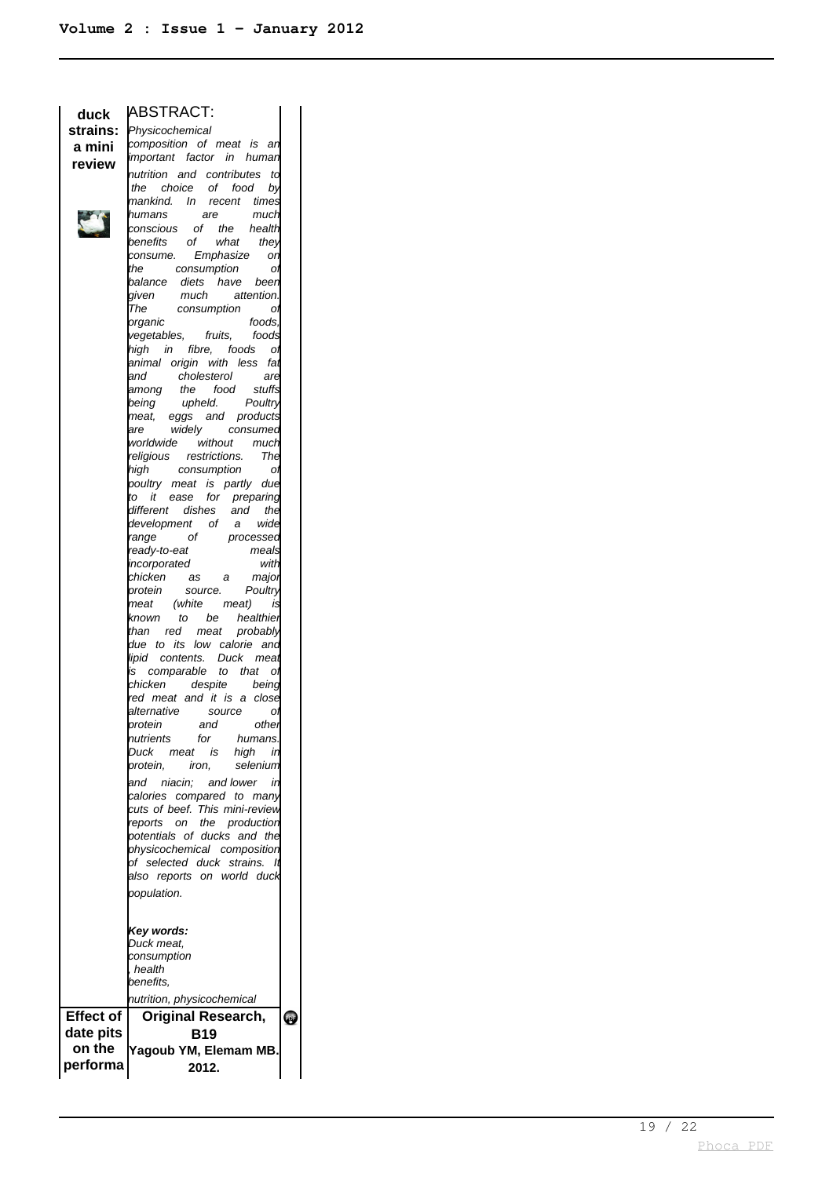|                    | duck ABSTRACT:<br>strains: <i>Physicochemical</i><br>a min:             |
|--------------------|-------------------------------------------------------------------------|
| a mini             | composition of meat is an<br>important factor in human                  |
| review             |                                                                         |
|                    | nutrition and contributes to<br>the choice of food by                   |
|                    | mankind. In recent times                                                |
|                    | humans are much<br>conscious of the health                              |
|                    |                                                                         |
|                    | benefits of what they                                                   |
|                    | consume. Emphasize on<br>the consumption ot                             |
|                    | balance diets have been                                                 |
|                    | much attention.<br>given                                                |
|                    | The consumption of                                                      |
|                    | foods,<br>organic                                                       |
|                    | vegetables, fruits, foods                                               |
|                    | high in fibre, foods of<br>animal origin with less fat                  |
|                    |                                                                         |
|                    | and cholesterol are<br>among the food stuffs<br>being upheld. Poultry   |
|                    |                                                                         |
|                    | meat, eggs and products                                                 |
|                    | widely consumed<br>are                                                  |
|                    | worldwide without much                                                  |
|                    | religious restrictions. The<br>high consumption ol                      |
|                    |                                                                         |
|                    | <br>poultry meat is partly due<br>to it ease for preparing              |
|                    | different dishes and the<br>development of a wide<br>range of processed |
|                    |                                                                         |
|                    |                                                                         |
|                    | meals<br>ready-to-eat<br>with<br>incorporated                           |
|                    | chicken as a majoi                                                      |
|                    | source. Poultry<br>protein                                              |
|                    | meat (white meat) is                                                    |
|                    | known to be healthie <mark>r</mark><br>than red meat probably           |
|                    |                                                                         |
|                    |                                                                         |
|                    | due to its low calorie and                                              |
|                    | lipid contents. Duck meat<br>is comparable to that of                   |
|                    | despite being<br>chicken                                                |
|                    | red meat and it is a close                                              |
|                    |                                                                         |
|                    | alternative source of<br>protein and other                              |
|                    | nutrients<br>for<br>humans.<br>meat is<br>in                            |
|                    | Duck<br>high<br>selenium<br>protein,<br>iron.                           |
|                    | and niacin; and lower in                                                |
|                    | calories compared to many                                               |
|                    | cuts of beef. This mini-review                                          |
|                    | reports on the production                                               |
|                    | potentials of ducks and the                                             |
|                    | physicochemical composition<br>of selected duck strains. It             |
|                    | also reports on world duck                                              |
|                    | population.                                                             |
|                    |                                                                         |
|                    |                                                                         |
|                    | Key words:<br>Duck meat,                                                |
|                    | consumption                                                             |
|                    | health                                                                  |
|                    | benefits.                                                               |
|                    | nutrition, physicochemical                                              |
| <b>Effect of</b>   | <b>Original Research,</b>                                               |
| date pits          | B19                                                                     |
| on the<br>performa | Yagoub YM, Elemam MB.<br>2012.                                          |

 $\bullet$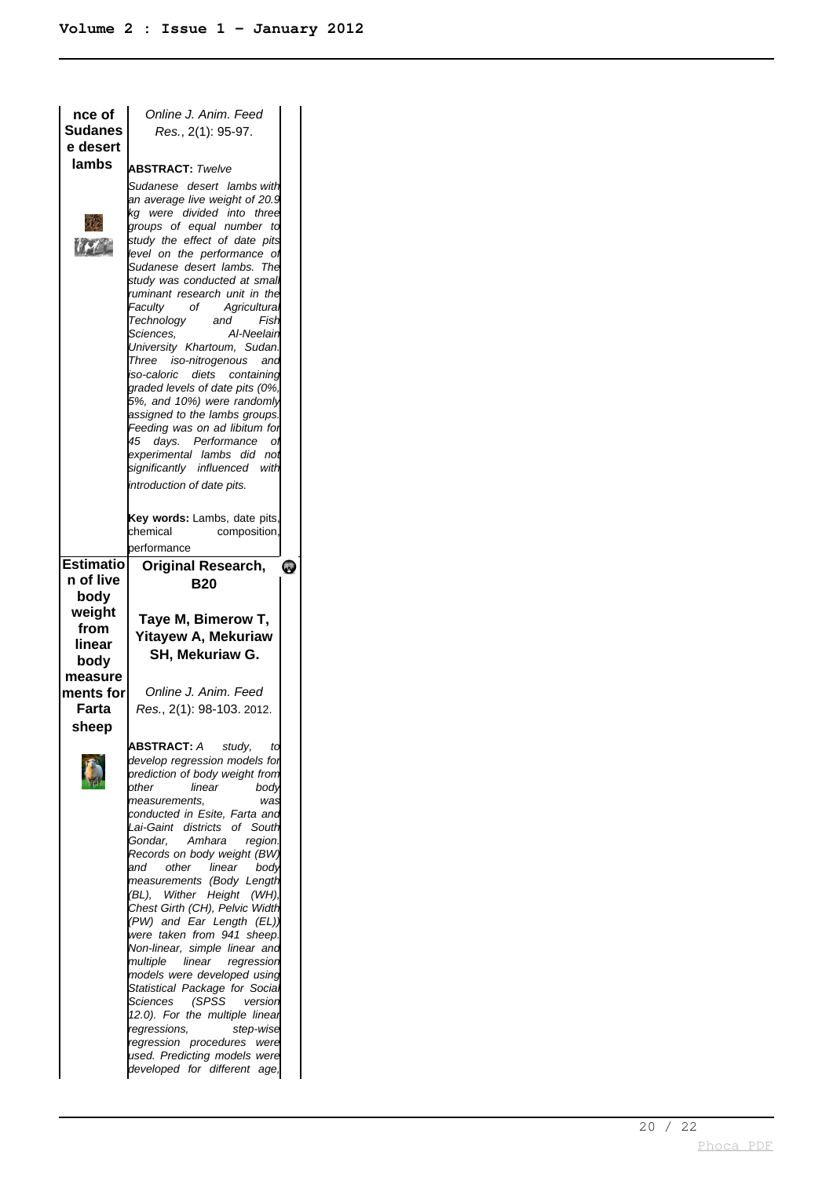| Online J. Anim. Feed<br>Res., 2(1): 95-97.                                                                                                                                                                                                                                                                                                                                                                                                                                                                                                                                                                                                                                                               |                                                                                                                                 |
|----------------------------------------------------------------------------------------------------------------------------------------------------------------------------------------------------------------------------------------------------------------------------------------------------------------------------------------------------------------------------------------------------------------------------------------------------------------------------------------------------------------------------------------------------------------------------------------------------------------------------------------------------------------------------------------------------------|---------------------------------------------------------------------------------------------------------------------------------|
|                                                                                                                                                                                                                                                                                                                                                                                                                                                                                                                                                                                                                                                                                                          |                                                                                                                                 |
| Sudanese desert lambswith<br>an average live weight of 20.9 $\,$<br>kg were divided into three<br>groups of equal number to<br>study the effect of date pits<br>level on the performance of<br>Sudanese desert lambs. The<br>study was conducted at smal<br>ruminant research unit in the<br>Faculty<br>of Agricultural<br>Technology and<br>Fish<br>Al-Neelain<br>Sciences.<br>University Khartoum, Sudan.<br>Three iso-nitrogenous<br>and<br>iso-caloric diets containing<br>graded levels of date pits (0%,<br>5%, and 10%) were randomly<br>assigned to the lambs groups.<br>Feeding was on ad libitum for<br>45 days. Performance of<br>experimental lambs did not<br>significantly influenced with |                                                                                                                                 |
| Key words: Lambs, date pits,<br>chemical<br>composition,                                                                                                                                                                                                                                                                                                                                                                                                                                                                                                                                                                                                                                                 |                                                                                                                                 |
|                                                                                                                                                                                                                                                                                                                                                                                                                                                                                                                                                                                                                                                                                                          |                                                                                                                                 |
| <b>B20</b><br>Taye M, Bimerow T,<br>Yitayew A, Mekuriaw<br>SH, Mekuriaw G.                                                                                                                                                                                                                                                                                                                                                                                                                                                                                                                                                                                                                               | <b>QUE</b>                                                                                                                      |
| Online J. Anim. Feed<br>Res., 2(1): 98-103. 2012.                                                                                                                                                                                                                                                                                                                                                                                                                                                                                                                                                                                                                                                        |                                                                                                                                 |
| <b>ABSTRACT:</b> A<br>study,<br>ta<br>develop regression models for<br>prediction of body weight from<br>linear<br>other<br>bodv<br>measurements.<br>was<br>conducted in Esite, Farta and<br>Lai-Gaint districts of South<br>Gondar, Amhara<br>region.<br>Records on body weight (BW)<br>other<br>linear<br>and<br>body<br>measurements (Body Length<br>(BL), Wither Height (WH),<br>Chest Girth (CH), Pelvic Width<br>(PW) and Ear Length (EL))                                                                                                                                                                                                                                                         |                                                                                                                                 |
|                                                                                                                                                                                                                                                                                                                                                                                                                                                                                                                                                                                                                                                                                                          | <b>ABSTRACT: Twelve</b><br>introduction of date pits.<br>performance<br><b>Original Research,</b><br>were taken from 941 sheep. |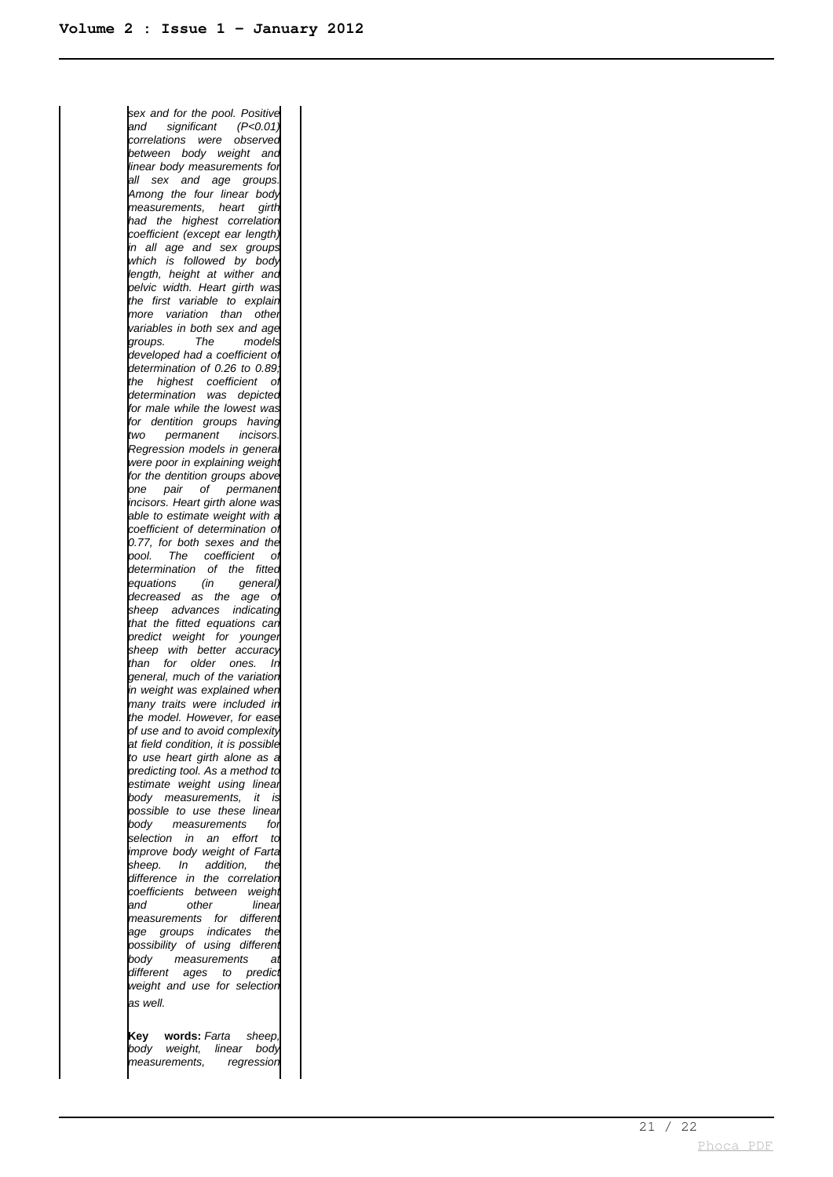sex and for the pool. Positive and significant (P<0.01) correlations were observed between body weight and linear body measurements for all sex and age groups. Among the four linear body measurements, heart girth had the highest correlation coefficient (except ear length) in all age and sex groups which is followed by body length, height at wither and pelvic width. Heart girth was the first variable to explain more variation than other variables in both sex and age groups. The models developed had a coefficient of determination of 0.26 to 0.89 the highest coefficient of determination was depicted for male while the lowest was for dentition groups having two permanent incisors. Regression models in general were poor in explaining weight for the dentition groups above one pair of permanent incisors. Heart girth alone was able to estimate weight with a coefficient of determination of 0.77, for both sexes and the pool. The coefficient of determination of the fitted<br>equations (in general) equations (in general) decreased as the age of sheep advances indicating that the fitted equations can predict weight for younger sheep with better accuracy than for older ones. In general, much of the variation in weight was explained when many traits were included in the model. However, for ease of use and to avoid complexity at field condition, it is possible to use heart girth alone as a predicting tool. As a method to estimate weight using linear body measurements, it is possible to use these linear body measurements for selection in an effort to improve body weight of Farta sheep. In addition, the difference in the correlation coefficients between weight<br>http://www.dineau.com other linear measurements for differen age groups indicates the possibility of using different body measurements at different ages to predict weight and use for selection as well.

**Key words:** Farta sheep, body weight, linear body measurements, regression